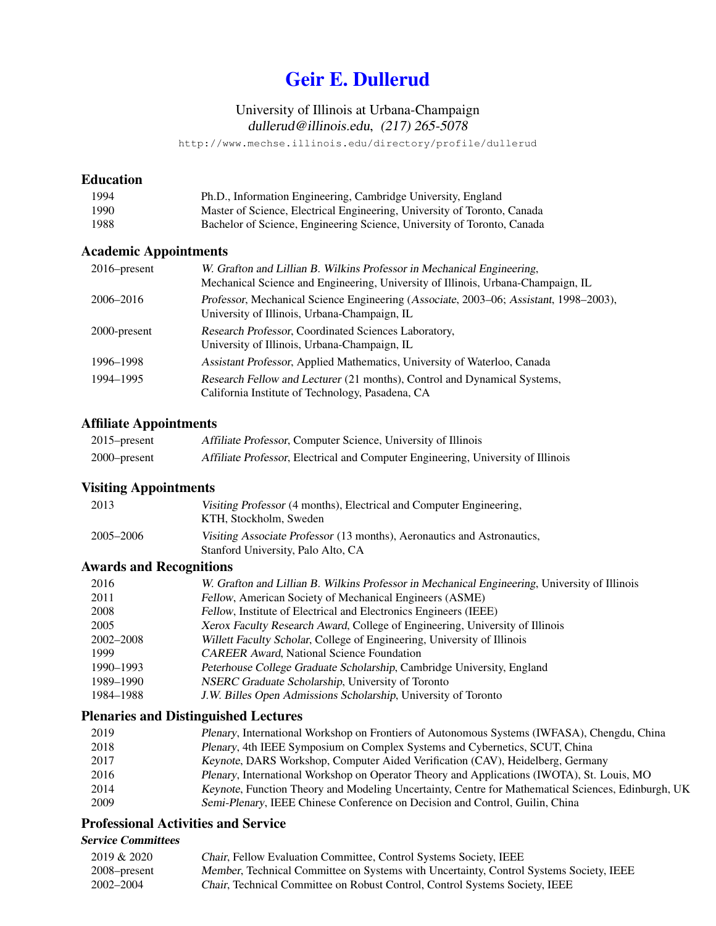# [Geir E. Dullerud](https://mechanical.illinois.edu/directory/faculty/dullerud)

# University of Illinois at Urbana-Champaign dullerud@illinois.edu, (217) 265-5078

http://www.mechse.illinois.edu/directory/profile/dullerud

# Education

| 1994 | Ph.D., Information Engineering, Cambridge University, England            |
|------|--------------------------------------------------------------------------|
| 1990 | Master of Science, Electrical Engineering, University of Toronto, Canada |
| 1988 | Bachelor of Science, Engineering Science, University of Toronto, Canada  |

# Academic Appointments

| $2016$ -present | W. Grafton and Lillian B. Wilkins Professor in Mechanical Engineering,<br>Mechanical Science and Engineering, University of Illinois, Urbana-Champaign, IL |
|-----------------|------------------------------------------------------------------------------------------------------------------------------------------------------------|
| 2006–2016       | Professor, Mechanical Science Engineering (Associate, 2003–06; Assistant, 1998–2003),<br>University of Illinois, Urbana-Champaign, IL                      |
| 2000-present    | Research Professor, Coordinated Sciences Laboratory,<br>University of Illinois, Urbana-Champaign, IL                                                       |
| 1996–1998       | Assistant Professor, Applied Mathematics, University of Waterloo, Canada                                                                                   |
| 1994-1995       | Research Fellow and Lecturer (21 months), Control and Dynamical Systems,<br>California Institute of Technology, Pasadena, CA                               |

## Affiliate Appointments

| $2015$ -present | Affiliate Professor, Computer Science, University of Illinois                    |
|-----------------|----------------------------------------------------------------------------------|
| $2000$ -present | Affiliate Professor, Electrical and Computer Engineering, University of Illinois |

# Visiting Appointments

| 2013      | Visiting Professor (4 months), Electrical and Computer Engineering,<br>KTH, Stockholm, Sweden                 |
|-----------|---------------------------------------------------------------------------------------------------------------|
| 2005–2006 | Visiting Associate Professor (13 months), Aeronautics and Astronautics,<br>Stanford University, Palo Alto, CA |

# Awards and Recognitions

| 2016      | W. Grafton and Lillian B. Wilkins Professor in Mechanical Engineering, University of Illinois |
|-----------|-----------------------------------------------------------------------------------------------|
| 2011      | Fellow, American Society of Mechanical Engineers (ASME)                                       |
| 2008      | Fellow, Institute of Electrical and Electronics Engineers (IEEE)                              |
| 2005      | Xerox Faculty Research Award, College of Engineering, University of Illinois                  |
| 2002-2008 | Willett Faculty Scholar, College of Engineering, University of Illinois                       |
| 1999      | <b>CAREER Award, National Science Foundation</b>                                              |
| 1990–1993 | Peterhouse College Graduate Scholarship, Cambridge University, England                        |
| 1989–1990 | NSERC Graduate Scholarship, University of Toronto                                             |
| 1984–1988 | J.W. Billes Open Admissions Scholarship, University of Toronto                                |

# Plenaries and Distinguished Lectures

| 2019 | Plenary, International Workshop on Frontiers of Autonomous Systems (IWFASA), Chengdu, China        |
|------|----------------------------------------------------------------------------------------------------|
| 2018 | Plenary, 4th IEEE Symposium on Complex Systems and Cybernetics, SCUT, China                        |
| 2017 | Keynote, DARS Workshop, Computer Aided Verification (CAV), Heidelberg, Germany                     |
| 2016 | Plenary, International Workshop on Operator Theory and Applications (IWOTA), St. Louis, MO         |
| 2014 | Keynote, Function Theory and Modeling Uncertainty, Centre for Mathematical Sciences, Edinburgh, UK |
| 2009 | Semi-Plenary, IEEE Chinese Conference on Decision and Control, Guilin, China                       |

# Professional Activities and Service

# Service Committees

| 2019 & 2020  | Chair, Fellow Evaluation Committee, Control Systems Society, IEEE                      |
|--------------|----------------------------------------------------------------------------------------|
| 2008–present | Member, Technical Committee on Systems with Uncertainty, Control Systems Society, IEEE |
| 2002–2004    | <i>Chair</i> , Technical Committee on Robust Control, Control Systems Society, IEEE    |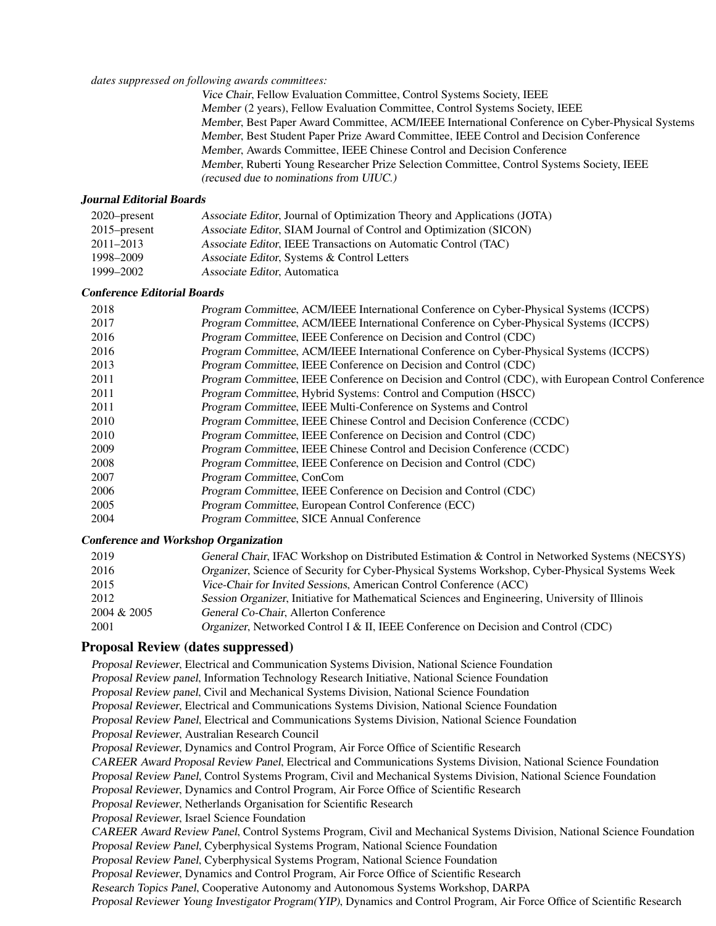#### *dates suppressed on following awards committees:*

Vice Chair, Fellow Evaluation Committee, Control Systems Society, IEEE Member (2 years), Fellow Evaluation Committee, Control Systems Society, IEEE Member, Best Paper Award Committee, ACM/IEEE International Conference on Cyber-Physical Systems Member, Best Student Paper Prize Award Committee, IEEE Control and Decision Conference Member, Awards Committee, IEEE Chinese Control and Decision Conference Member, Ruberti Young Researcher Prize Selection Committee, Control Systems Society, IEEE (recused due to nominations from UIUC.)

#### Journal Editorial Boards

| $2020$ -present | Associate Editor, Journal of Optimization Theory and Applications (JOTA) |
|-----------------|--------------------------------------------------------------------------|
| $2015$ -present | Associate Editor, SIAM Journal of Control and Optimization (SICON)       |
| $2011 - 2013$   | Associate Editor, IEEE Transactions on Automatic Control (TAC)           |
| 1998–2009       | Associate Editor, Systems & Control Letters                              |
| 1999–2002       | Associate Editor, Automatica                                             |

#### Conference Editorial Boards

| 2018 | Program Committee, ACM/IEEE International Conference on Cyber-Physical Systems (ICCPS)             |
|------|----------------------------------------------------------------------------------------------------|
| 2017 | Program Committee, ACM/IEEE International Conference on Cyber-Physical Systems (ICCPS)             |
| 2016 | Program Committee, IEEE Conference on Decision and Control (CDC)                                   |
| 2016 | Program Committee, ACM/IEEE International Conference on Cyber-Physical Systems (ICCPS)             |
| 2013 | Program Committee, IEEE Conference on Decision and Control (CDC)                                   |
| 2011 | Program Committee, IEEE Conference on Decision and Control (CDC), with European Control Conference |
| 2011 | Program Committee, Hybrid Systems: Control and Compution (HSCC)                                    |
| 2011 | Program Committee, IEEE Multi-Conference on Systems and Control                                    |
| 2010 | Program Committee, IEEE Chinese Control and Decision Conference (CCDC)                             |
| 2010 | Program Committee, IEEE Conference on Decision and Control (CDC)                                   |
| 2009 | Program Committee, IEEE Chinese Control and Decision Conference (CCDC)                             |
| 2008 | Program Committee, IEEE Conference on Decision and Control (CDC)                                   |
| 2007 | Program Committee, ConCom                                                                          |
| 2006 | Program Committee, IEEE Conference on Decision and Control (CDC)                                   |
| 2005 | Program Committee, European Control Conference (ECC)                                               |
| 2004 | Program Committee, SICE Annual Conference                                                          |
|      |                                                                                                    |

## Conference and Workshop Organization

| 2019        | General Chair, IFAC Workshop on Distributed Estimation & Control in Networked Systems (NECSYS)  |
|-------------|-------------------------------------------------------------------------------------------------|
| 2016        | Organizer, Science of Security for Cyber-Physical Systems Workshop, Cyber-Physical Systems Week |
| 2015        | Vice-Chair for Invited Sessions, American Control Conference (ACC)                              |
| 2012        | Session Organizer, Initiative for Mathematical Sciences and Engineering, University of Illinois |
| 2004 & 2005 | General Co-Chair, Allerton Conference                                                           |
| 2001        | Organizer, Networked Control I & II, IEEE Conference on Decision and Control (CDC)              |
|             |                                                                                                 |

#### Proposal Review (dates suppressed)

Proposal Reviewer, Electrical and Communication Systems Division, National Science Foundation Proposal Review panel, Information Technology Research Initiative, National Science Foundation Proposal Review panel, Civil and Mechanical Systems Division, National Science Foundation Proposal Reviewer, Electrical and Communications Systems Division, National Science Foundation Proposal Review Panel, Electrical and Communications Systems Division, National Science Foundation Proposal Reviewer, Australian Research Council Proposal Reviewer, Dynamics and Control Program, Air Force Office of Scientific Research CAREER Award Proposal Review Panel, Electrical and Communications Systems Division, National Science Foundation Proposal Review Panel, Control Systems Program, Civil and Mechanical Systems Division, National Science Foundation Proposal Reviewer, Dynamics and Control Program, Air Force Office of Scientific Research Proposal Reviewer, Netherlands Organisation for Scientific Research Proposal Reviewer, Israel Science Foundation CAREER Award Review Panel, Control Systems Program, Civil and Mechanical Systems Division, National Science Foundation Proposal Review Panel, Cyberphysical Systems Program, National Science Foundation Proposal Review Panel, Cyberphysical Systems Program, National Science Foundation Proposal Reviewer, Dynamics and Control Program, Air Force Office of Scientific Research Research Topics Panel, Cooperative Autonomy and Autonomous Systems Workshop, DARPA Proposal Reviewer Young Investigator Program(YIP), Dynamics and Control Program, Air Force Office of Scientific Research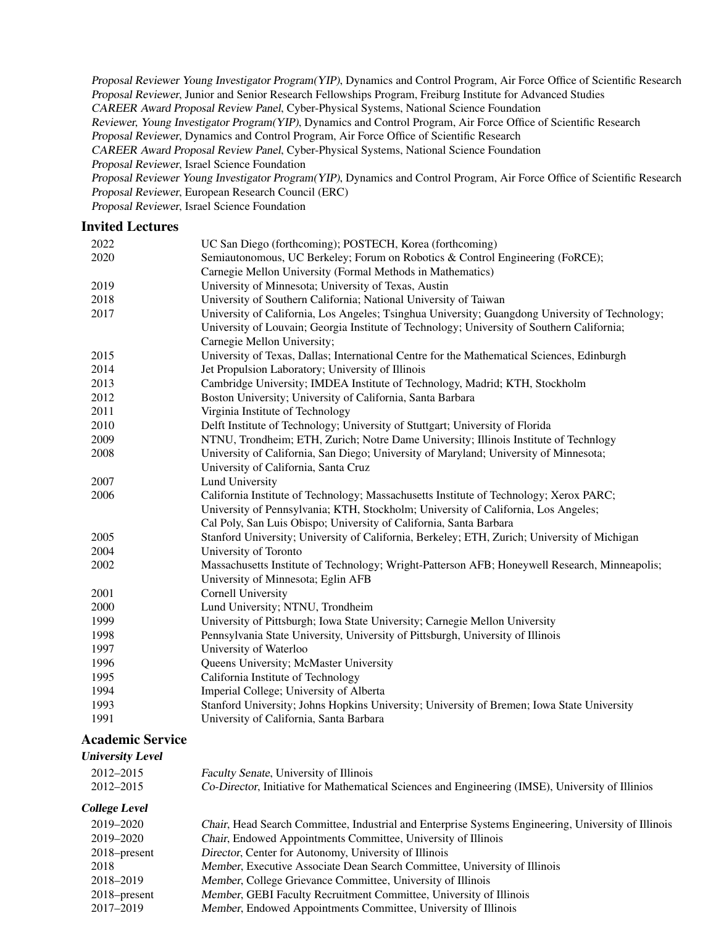Proposal Reviewer Young Investigator Program(YIP), Dynamics and Control Program, Air Force Office of Scientific Research Proposal Reviewer, Junior and Senior Research Fellowships Program, Freiburg Institute for Advanced Studies CAREER Award Proposal Review Panel, Cyber-Physical Systems, National Science Foundation Reviewer, Young Investigator Program(YIP), Dynamics and Control Program, Air Force Office of Scientific Research Proposal Reviewer, Dynamics and Control Program, Air Force Office of Scientific Research CAREER Award Proposal Review Panel, Cyber-Physical Systems, National Science Foundation Proposal Reviewer, Israel Science Foundation Proposal Reviewer Young Investigator Program(YIP), Dynamics and Control Program, Air Force Office of Scientific Research Proposal Reviewer, European Research Council (ERC) Proposal Reviewer, Israel Science Foundation

## Invited Lectures

| 2022 | UC San Diego (forthcoming); POSTECH, Korea (forthcoming)                                                                                                                                                                     |
|------|------------------------------------------------------------------------------------------------------------------------------------------------------------------------------------------------------------------------------|
| 2020 | Semiautonomous, UC Berkeley; Forum on Robotics & Control Engineering (FoRCE);                                                                                                                                                |
|      | Carnegie Mellon University (Formal Methods in Mathematics)                                                                                                                                                                   |
| 2019 | University of Minnesota; University of Texas, Austin                                                                                                                                                                         |
| 2018 | University of Southern California; National University of Taiwan                                                                                                                                                             |
| 2017 | University of California, Los Angeles; Tsinghua University; Guangdong University of Technology;<br>University of Louvain; Georgia Institute of Technology; University of Southern California;<br>Carnegie Mellon University; |
| 2015 | University of Texas, Dallas; International Centre for the Mathematical Sciences, Edinburgh                                                                                                                                   |
| 2014 | Jet Propulsion Laboratory; University of Illinois                                                                                                                                                                            |
| 2013 | Cambridge University; IMDEA Institute of Technology, Madrid; KTH, Stockholm                                                                                                                                                  |
| 2012 | Boston University; University of California, Santa Barbara                                                                                                                                                                   |
| 2011 | Virginia Institute of Technology                                                                                                                                                                                             |
| 2010 | Delft Institute of Technology; University of Stuttgart; University of Florida                                                                                                                                                |
| 2009 | NTNU, Trondheim; ETH, Zurich; Notre Dame University; Illinois Institute of Technlogy                                                                                                                                         |
| 2008 | University of California, San Diego; University of Maryland; University of Minnesota;<br>University of California, Santa Cruz                                                                                                |
| 2007 | <b>Lund University</b>                                                                                                                                                                                                       |
| 2006 | California Institute of Technology; Massachusetts Institute of Technology; Xerox PARC;                                                                                                                                       |
|      | University of Pennsylvania; KTH, Stockholm; University of California, Los Angeles;                                                                                                                                           |
|      | Cal Poly, San Luis Obispo; University of California, Santa Barbara                                                                                                                                                           |
| 2005 | Stanford University; University of California, Berkeley; ETH, Zurich; University of Michigan                                                                                                                                 |
| 2004 | University of Toronto                                                                                                                                                                                                        |
| 2002 | Massachusetts Institute of Technology; Wright-Patterson AFB; Honeywell Research, Minneapolis;                                                                                                                                |
|      | University of Minnesota; Eglin AFB                                                                                                                                                                                           |
| 2001 | Cornell University                                                                                                                                                                                                           |
| 2000 | Lund University; NTNU, Trondheim                                                                                                                                                                                             |
| 1999 | University of Pittsburgh; Iowa State University; Carnegie Mellon University                                                                                                                                                  |
| 1998 | Pennsylvania State University, University of Pittsburgh, University of Illinois                                                                                                                                              |
| 1997 | University of Waterloo                                                                                                                                                                                                       |
| 1996 | Queens University; McMaster University                                                                                                                                                                                       |
| 1995 | California Institute of Technology                                                                                                                                                                                           |
| 1994 | Imperial College; University of Alberta                                                                                                                                                                                      |
| 1993 | Stanford University; Johns Hopkins University; University of Bremen; Iowa State University                                                                                                                                   |
| 1991 | University of California, Santa Barbara                                                                                                                                                                                      |

# Academic Service

## University Level

| 2012–2015 | Faculty Senate, University of Illinois                                                           |
|-----------|--------------------------------------------------------------------------------------------------|
| 2012–2015 | Co-Director, Initiative for Mathematical Sciences and Engineering (IMSE), University of Illinios |

## College Level

| 2019–2020       | Chair, Head Search Committee, Industrial and Enterprise Systems Engineering, University of Illinois |
|-----------------|-----------------------------------------------------------------------------------------------------|
| 2019–2020       | <i>Chair</i> , Endowed Appointments Committee, University of Illinois                               |
| $2018$ -present | Director, Center for Autonomy, University of Illinois                                               |
| 2018            | Member, Executive Associate Dean Search Committee, University of Illinois                           |
| 2018–2019       | Member, College Grievance Committee, University of Illinois                                         |
| $2018$ -present | Member, GEBI Faculty Recruitment Committee, University of Illinois                                  |
| 2017-2019       | Member, Endowed Appointments Committee, University of Illinois                                      |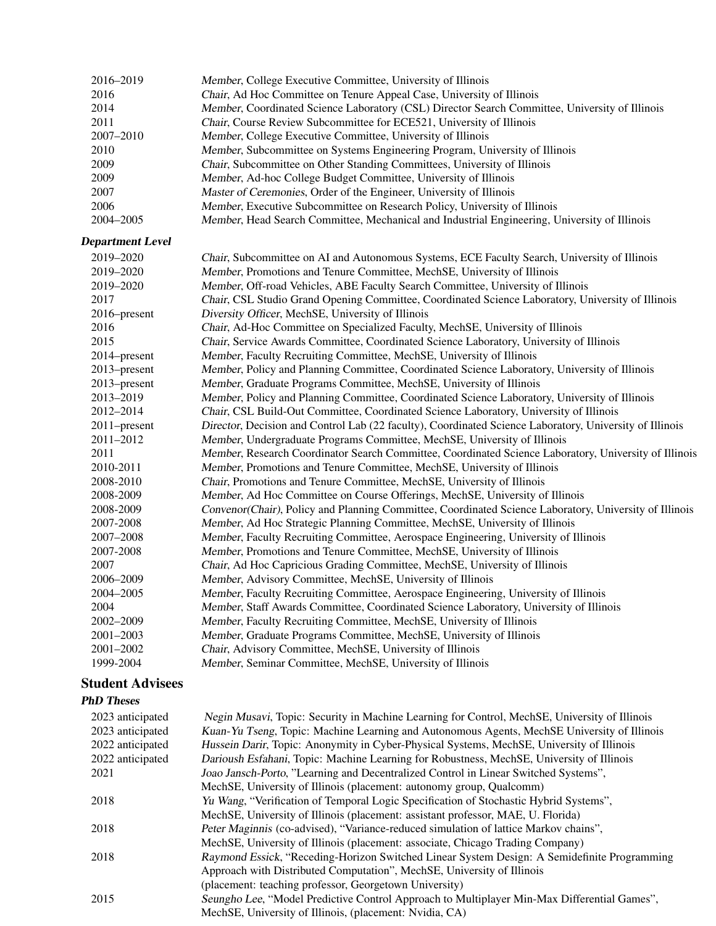| 2016<br>2014<br>2011<br>2007-2010<br>2010<br>2009<br>2009<br>2007<br>2006<br>2004-2005                                                                                                                                                                                                                     | Member, College Executive Committee, University of Illinois<br>Chair, Ad Hoc Committee on Tenure Appeal Case, University of Illinois<br>Member, Coordinated Science Laboratory (CSL) Director Search Committee, University of Illinois<br>Chair, Course Review Subcommittee for ECE521, University of Illinois<br>Member, College Executive Committee, University of Illinois<br>Member, Subcommittee on Systems Engineering Program, University of Illinois<br>Chair, Subcommittee on Other Standing Committees, University of Illinois<br>Member, Ad-hoc College Budget Committee, University of Illinois<br>Master of Ceremonies, Order of the Engineer, University of Illinois<br>Member, Executive Subcommittee on Research Policy, University of Illinois                                                                                                                                                                                                                                                                                                                                                                                                                                                                                                                                                                                                                                                                                                                                                                                                                                                                                                                                                                                                                                                                                                                                                                                                                                                                                               |
|------------------------------------------------------------------------------------------------------------------------------------------------------------------------------------------------------------------------------------------------------------------------------------------------------------|---------------------------------------------------------------------------------------------------------------------------------------------------------------------------------------------------------------------------------------------------------------------------------------------------------------------------------------------------------------------------------------------------------------------------------------------------------------------------------------------------------------------------------------------------------------------------------------------------------------------------------------------------------------------------------------------------------------------------------------------------------------------------------------------------------------------------------------------------------------------------------------------------------------------------------------------------------------------------------------------------------------------------------------------------------------------------------------------------------------------------------------------------------------------------------------------------------------------------------------------------------------------------------------------------------------------------------------------------------------------------------------------------------------------------------------------------------------------------------------------------------------------------------------------------------------------------------------------------------------------------------------------------------------------------------------------------------------------------------------------------------------------------------------------------------------------------------------------------------------------------------------------------------------------------------------------------------------------------------------------------------------------------------------------------------------|
|                                                                                                                                                                                                                                                                                                            |                                                                                                                                                                                                                                                                                                                                                                                                                                                                                                                                                                                                                                                                                                                                                                                                                                                                                                                                                                                                                                                                                                                                                                                                                                                                                                                                                                                                                                                                                                                                                                                                                                                                                                                                                                                                                                                                                                                                                                                                                                                               |
|                                                                                                                                                                                                                                                                                                            |                                                                                                                                                                                                                                                                                                                                                                                                                                                                                                                                                                                                                                                                                                                                                                                                                                                                                                                                                                                                                                                                                                                                                                                                                                                                                                                                                                                                                                                                                                                                                                                                                                                                                                                                                                                                                                                                                                                                                                                                                                                               |
|                                                                                                                                                                                                                                                                                                            |                                                                                                                                                                                                                                                                                                                                                                                                                                                                                                                                                                                                                                                                                                                                                                                                                                                                                                                                                                                                                                                                                                                                                                                                                                                                                                                                                                                                                                                                                                                                                                                                                                                                                                                                                                                                                                                                                                                                                                                                                                                               |
|                                                                                                                                                                                                                                                                                                            |                                                                                                                                                                                                                                                                                                                                                                                                                                                                                                                                                                                                                                                                                                                                                                                                                                                                                                                                                                                                                                                                                                                                                                                                                                                                                                                                                                                                                                                                                                                                                                                                                                                                                                                                                                                                                                                                                                                                                                                                                                                               |
|                                                                                                                                                                                                                                                                                                            |                                                                                                                                                                                                                                                                                                                                                                                                                                                                                                                                                                                                                                                                                                                                                                                                                                                                                                                                                                                                                                                                                                                                                                                                                                                                                                                                                                                                                                                                                                                                                                                                                                                                                                                                                                                                                                                                                                                                                                                                                                                               |
|                                                                                                                                                                                                                                                                                                            |                                                                                                                                                                                                                                                                                                                                                                                                                                                                                                                                                                                                                                                                                                                                                                                                                                                                                                                                                                                                                                                                                                                                                                                                                                                                                                                                                                                                                                                                                                                                                                                                                                                                                                                                                                                                                                                                                                                                                                                                                                                               |
|                                                                                                                                                                                                                                                                                                            |                                                                                                                                                                                                                                                                                                                                                                                                                                                                                                                                                                                                                                                                                                                                                                                                                                                                                                                                                                                                                                                                                                                                                                                                                                                                                                                                                                                                                                                                                                                                                                                                                                                                                                                                                                                                                                                                                                                                                                                                                                                               |
|                                                                                                                                                                                                                                                                                                            |                                                                                                                                                                                                                                                                                                                                                                                                                                                                                                                                                                                                                                                                                                                                                                                                                                                                                                                                                                                                                                                                                                                                                                                                                                                                                                                                                                                                                                                                                                                                                                                                                                                                                                                                                                                                                                                                                                                                                                                                                                                               |
|                                                                                                                                                                                                                                                                                                            |                                                                                                                                                                                                                                                                                                                                                                                                                                                                                                                                                                                                                                                                                                                                                                                                                                                                                                                                                                                                                                                                                                                                                                                                                                                                                                                                                                                                                                                                                                                                                                                                                                                                                                                                                                                                                                                                                                                                                                                                                                                               |
|                                                                                                                                                                                                                                                                                                            | Member, Head Search Committee, Mechanical and Industrial Engineering, University of Illinois                                                                                                                                                                                                                                                                                                                                                                                                                                                                                                                                                                                                                                                                                                                                                                                                                                                                                                                                                                                                                                                                                                                                                                                                                                                                                                                                                                                                                                                                                                                                                                                                                                                                                                                                                                                                                                                                                                                                                                  |
| <b>Department Level</b>                                                                                                                                                                                                                                                                                    |                                                                                                                                                                                                                                                                                                                                                                                                                                                                                                                                                                                                                                                                                                                                                                                                                                                                                                                                                                                                                                                                                                                                                                                                                                                                                                                                                                                                                                                                                                                                                                                                                                                                                                                                                                                                                                                                                                                                                                                                                                                               |
| 2019-2020                                                                                                                                                                                                                                                                                                  | Chair, Subcommittee on AI and Autonomous Systems, ECE Faculty Search, University of Illinois                                                                                                                                                                                                                                                                                                                                                                                                                                                                                                                                                                                                                                                                                                                                                                                                                                                                                                                                                                                                                                                                                                                                                                                                                                                                                                                                                                                                                                                                                                                                                                                                                                                                                                                                                                                                                                                                                                                                                                  |
| 2019-2020                                                                                                                                                                                                                                                                                                  | Member, Promotions and Tenure Committee, MechSE, University of Illinois                                                                                                                                                                                                                                                                                                                                                                                                                                                                                                                                                                                                                                                                                                                                                                                                                                                                                                                                                                                                                                                                                                                                                                                                                                                                                                                                                                                                                                                                                                                                                                                                                                                                                                                                                                                                                                                                                                                                                                                       |
| 2019–2020                                                                                                                                                                                                                                                                                                  | Member, Off-road Vehicles, ABE Faculty Search Committee, University of Illinois                                                                                                                                                                                                                                                                                                                                                                                                                                                                                                                                                                                                                                                                                                                                                                                                                                                                                                                                                                                                                                                                                                                                                                                                                                                                                                                                                                                                                                                                                                                                                                                                                                                                                                                                                                                                                                                                                                                                                                               |
| 2017                                                                                                                                                                                                                                                                                                       | Chair, CSL Studio Grand Opening Committee, Coordinated Science Laboratory, University of Illinois                                                                                                                                                                                                                                                                                                                                                                                                                                                                                                                                                                                                                                                                                                                                                                                                                                                                                                                                                                                                                                                                                                                                                                                                                                                                                                                                                                                                                                                                                                                                                                                                                                                                                                                                                                                                                                                                                                                                                             |
| 2016–present                                                                                                                                                                                                                                                                                               | Diversity Officer, MechSE, University of Illinois                                                                                                                                                                                                                                                                                                                                                                                                                                                                                                                                                                                                                                                                                                                                                                                                                                                                                                                                                                                                                                                                                                                                                                                                                                                                                                                                                                                                                                                                                                                                                                                                                                                                                                                                                                                                                                                                                                                                                                                                             |
|                                                                                                                                                                                                                                                                                                            |                                                                                                                                                                                                                                                                                                                                                                                                                                                                                                                                                                                                                                                                                                                                                                                                                                                                                                                                                                                                                                                                                                                                                                                                                                                                                                                                                                                                                                                                                                                                                                                                                                                                                                                                                                                                                                                                                                                                                                                                                                                               |
|                                                                                                                                                                                                                                                                                                            |                                                                                                                                                                                                                                                                                                                                                                                                                                                                                                                                                                                                                                                                                                                                                                                                                                                                                                                                                                                                                                                                                                                                                                                                                                                                                                                                                                                                                                                                                                                                                                                                                                                                                                                                                                                                                                                                                                                                                                                                                                                               |
|                                                                                                                                                                                                                                                                                                            |                                                                                                                                                                                                                                                                                                                                                                                                                                                                                                                                                                                                                                                                                                                                                                                                                                                                                                                                                                                                                                                                                                                                                                                                                                                                                                                                                                                                                                                                                                                                                                                                                                                                                                                                                                                                                                                                                                                                                                                                                                                               |
|                                                                                                                                                                                                                                                                                                            |                                                                                                                                                                                                                                                                                                                                                                                                                                                                                                                                                                                                                                                                                                                                                                                                                                                                                                                                                                                                                                                                                                                                                                                                                                                                                                                                                                                                                                                                                                                                                                                                                                                                                                                                                                                                                                                                                                                                                                                                                                                               |
|                                                                                                                                                                                                                                                                                                            |                                                                                                                                                                                                                                                                                                                                                                                                                                                                                                                                                                                                                                                                                                                                                                                                                                                                                                                                                                                                                                                                                                                                                                                                                                                                                                                                                                                                                                                                                                                                                                                                                                                                                                                                                                                                                                                                                                                                                                                                                                                               |
|                                                                                                                                                                                                                                                                                                            |                                                                                                                                                                                                                                                                                                                                                                                                                                                                                                                                                                                                                                                                                                                                                                                                                                                                                                                                                                                                                                                                                                                                                                                                                                                                                                                                                                                                                                                                                                                                                                                                                                                                                                                                                                                                                                                                                                                                                                                                                                                               |
|                                                                                                                                                                                                                                                                                                            |                                                                                                                                                                                                                                                                                                                                                                                                                                                                                                                                                                                                                                                                                                                                                                                                                                                                                                                                                                                                                                                                                                                                                                                                                                                                                                                                                                                                                                                                                                                                                                                                                                                                                                                                                                                                                                                                                                                                                                                                                                                               |
|                                                                                                                                                                                                                                                                                                            |                                                                                                                                                                                                                                                                                                                                                                                                                                                                                                                                                                                                                                                                                                                                                                                                                                                                                                                                                                                                                                                                                                                                                                                                                                                                                                                                                                                                                                                                                                                                                                                                                                                                                                                                                                                                                                                                                                                                                                                                                                                               |
|                                                                                                                                                                                                                                                                                                            |                                                                                                                                                                                                                                                                                                                                                                                                                                                                                                                                                                                                                                                                                                                                                                                                                                                                                                                                                                                                                                                                                                                                                                                                                                                                                                                                                                                                                                                                                                                                                                                                                                                                                                                                                                                                                                                                                                                                                                                                                                                               |
|                                                                                                                                                                                                                                                                                                            |                                                                                                                                                                                                                                                                                                                                                                                                                                                                                                                                                                                                                                                                                                                                                                                                                                                                                                                                                                                                                                                                                                                                                                                                                                                                                                                                                                                                                                                                                                                                                                                                                                                                                                                                                                                                                                                                                                                                                                                                                                                               |
|                                                                                                                                                                                                                                                                                                            |                                                                                                                                                                                                                                                                                                                                                                                                                                                                                                                                                                                                                                                                                                                                                                                                                                                                                                                                                                                                                                                                                                                                                                                                                                                                                                                                                                                                                                                                                                                                                                                                                                                                                                                                                                                                                                                                                                                                                                                                                                                               |
|                                                                                                                                                                                                                                                                                                            |                                                                                                                                                                                                                                                                                                                                                                                                                                                                                                                                                                                                                                                                                                                                                                                                                                                                                                                                                                                                                                                                                                                                                                                                                                                                                                                                                                                                                                                                                                                                                                                                                                                                                                                                                                                                                                                                                                                                                                                                                                                               |
|                                                                                                                                                                                                                                                                                                            |                                                                                                                                                                                                                                                                                                                                                                                                                                                                                                                                                                                                                                                                                                                                                                                                                                                                                                                                                                                                                                                                                                                                                                                                                                                                                                                                                                                                                                                                                                                                                                                                                                                                                                                                                                                                                                                                                                                                                                                                                                                               |
|                                                                                                                                                                                                                                                                                                            |                                                                                                                                                                                                                                                                                                                                                                                                                                                                                                                                                                                                                                                                                                                                                                                                                                                                                                                                                                                                                                                                                                                                                                                                                                                                                                                                                                                                                                                                                                                                                                                                                                                                                                                                                                                                                                                                                                                                                                                                                                                               |
|                                                                                                                                                                                                                                                                                                            |                                                                                                                                                                                                                                                                                                                                                                                                                                                                                                                                                                                                                                                                                                                                                                                                                                                                                                                                                                                                                                                                                                                                                                                                                                                                                                                                                                                                                                                                                                                                                                                                                                                                                                                                                                                                                                                                                                                                                                                                                                                               |
|                                                                                                                                                                                                                                                                                                            |                                                                                                                                                                                                                                                                                                                                                                                                                                                                                                                                                                                                                                                                                                                                                                                                                                                                                                                                                                                                                                                                                                                                                                                                                                                                                                                                                                                                                                                                                                                                                                                                                                                                                                                                                                                                                                                                                                                                                                                                                                                               |
|                                                                                                                                                                                                                                                                                                            |                                                                                                                                                                                                                                                                                                                                                                                                                                                                                                                                                                                                                                                                                                                                                                                                                                                                                                                                                                                                                                                                                                                                                                                                                                                                                                                                                                                                                                                                                                                                                                                                                                                                                                                                                                                                                                                                                                                                                                                                                                                               |
|                                                                                                                                                                                                                                                                                                            |                                                                                                                                                                                                                                                                                                                                                                                                                                                                                                                                                                                                                                                                                                                                                                                                                                                                                                                                                                                                                                                                                                                                                                                                                                                                                                                                                                                                                                                                                                                                                                                                                                                                                                                                                                                                                                                                                                                                                                                                                                                               |
|                                                                                                                                                                                                                                                                                                            |                                                                                                                                                                                                                                                                                                                                                                                                                                                                                                                                                                                                                                                                                                                                                                                                                                                                                                                                                                                                                                                                                                                                                                                                                                                                                                                                                                                                                                                                                                                                                                                                                                                                                                                                                                                                                                                                                                                                                                                                                                                               |
|                                                                                                                                                                                                                                                                                                            |                                                                                                                                                                                                                                                                                                                                                                                                                                                                                                                                                                                                                                                                                                                                                                                                                                                                                                                                                                                                                                                                                                                                                                                                                                                                                                                                                                                                                                                                                                                                                                                                                                                                                                                                                                                                                                                                                                                                                                                                                                                               |
|                                                                                                                                                                                                                                                                                                            |                                                                                                                                                                                                                                                                                                                                                                                                                                                                                                                                                                                                                                                                                                                                                                                                                                                                                                                                                                                                                                                                                                                                                                                                                                                                                                                                                                                                                                                                                                                                                                                                                                                                                                                                                                                                                                                                                                                                                                                                                                                               |
|                                                                                                                                                                                                                                                                                                            |                                                                                                                                                                                                                                                                                                                                                                                                                                                                                                                                                                                                                                                                                                                                                                                                                                                                                                                                                                                                                                                                                                                                                                                                                                                                                                                                                                                                                                                                                                                                                                                                                                                                                                                                                                                                                                                                                                                                                                                                                                                               |
|                                                                                                                                                                                                                                                                                                            |                                                                                                                                                                                                                                                                                                                                                                                                                                                                                                                                                                                                                                                                                                                                                                                                                                                                                                                                                                                                                                                                                                                                                                                                                                                                                                                                                                                                                                                                                                                                                                                                                                                                                                                                                                                                                                                                                                                                                                                                                                                               |
|                                                                                                                                                                                                                                                                                                            |                                                                                                                                                                                                                                                                                                                                                                                                                                                                                                                                                                                                                                                                                                                                                                                                                                                                                                                                                                                                                                                                                                                                                                                                                                                                                                                                                                                                                                                                                                                                                                                                                                                                                                                                                                                                                                                                                                                                                                                                                                                               |
|                                                                                                                                                                                                                                                                                                            | Member, Seminar Committee, MechSE, University of Illinois                                                                                                                                                                                                                                                                                                                                                                                                                                                                                                                                                                                                                                                                                                                                                                                                                                                                                                                                                                                                                                                                                                                                                                                                                                                                                                                                                                                                                                                                                                                                                                                                                                                                                                                                                                                                                                                                                                                                                                                                     |
| 2016<br>2015<br>2014-present<br>2013-present<br>2013-present<br>2013-2019<br>2012-2014<br>$2011$ -present<br>2011-2012<br>2011<br>2010-2011<br>2008-2010<br>2008-2009<br>2008-2009<br>2007-2008<br>2007-2008<br>2007-2008<br>2007<br>2006-2009<br>2004–2005<br>2004<br>2002-2009<br>2001-2003<br>2001-2002 | Chair, Ad-Hoc Committee on Specialized Faculty, MechSE, University of Illinois<br>Chair, Service Awards Committee, Coordinated Science Laboratory, University of Illinois<br>Member, Faculty Recruiting Committee, MechSE, University of Illinois<br>Member, Policy and Planning Committee, Coordinated Science Laboratory, University of Illinois<br>Member, Graduate Programs Committee, MechSE, University of Illinois<br>Member, Policy and Planning Committee, Coordinated Science Laboratory, University of Illinois<br>Chair, CSL Build-Out Committee, Coordinated Science Laboratory, University of Illinois<br>Director, Decision and Control Lab (22 faculty), Coordinated Science Laboratory, University of Illinois<br>Member, Undergraduate Programs Committee, MechSE, University of Illinois<br>Member, Research Coordinator Search Committee, Coordinated Science Laboratory, University of Illinois<br>Member, Promotions and Tenure Committee, MechSE, University of Illinois<br>Chair, Promotions and Tenure Committee, MechSE, University of Illinois<br>Member, Ad Hoc Committee on Course Offerings, MechSE, University of Illinois<br>Convenor(Chair), Policy and Planning Committee, Coordinated Science Laboratory, University of Illinois<br>Member, Ad Hoc Strategic Planning Committee, MechSE, University of Illinois<br>Member, Faculty Recruiting Committee, Aerospace Engineering, University of Illinois<br>Member, Promotions and Tenure Committee, MechSE, University of Illinois<br>Chair, Ad Hoc Capricious Grading Committee, MechSE, University of Illinois<br>Member, Advisory Committee, MechSE, University of Illinois<br>Member, Faculty Recruiting Committee, Aerospace Engineering, University of Illinois<br>Member, Staff Awards Committee, Coordinated Science Laboratory, University of Illinois<br>Member, Faculty Recruiting Committee, MechSE, University of Illinois<br>Member, Graduate Programs Committee, MechSE, University of Illinois<br>Chair, Advisory Committee, MechSE, University of Illinois |

# Student Advisees

# PhD Theses

| 2023 anticipated | Negin Musavi, Topic: Security in Machine Learning for Control, MechSE, University of Illinois |
|------------------|-----------------------------------------------------------------------------------------------|
| 2023 anticipated | Kuan-Yu Tseng, Topic: Machine Learning and Autonomous Agents, MechSE University of Illinois   |
| 2022 anticipated | Hussein Darir, Topic: Anonymity in Cyber-Physical Systems, MechSE, University of Illinois     |
| 2022 anticipated | Darioush Esfahani, Topic: Machine Learning for Robustness, MechSE, University of Illinois     |
| 2021             | Joao Jansch-Porto, "Learning and Decentralized Control in Linear Switched Systems",           |
|                  | MechSE, University of Illinois (placement: autonomy group, Qualcomm)                          |
| 2018             | Yu Wang, "Verification of Temporal Logic Specification of Stochastic Hybrid Systems",         |
|                  | MechSE, University of Illinois (placement: assistant professor, MAE, U. Florida)              |
| 2018             | Peter Maginnis (co-advised), "Variance-reduced simulation of lattice Markov chains",          |
|                  | MechSE, University of Illinois (placement: associate, Chicago Trading Company)                |
| 2018             | Raymond Essick, "Receding-Horizon Switched Linear System Design: A Semidefinite Programming   |
|                  | Approach with Distributed Computation", MechSE, University of Illinois                        |
|                  | (placement: teaching professor, Georgetown University)                                        |
| 2015             | Seungho Lee, "Model Predictive Control Approach to Multiplayer Min-Max Differential Games",   |
|                  | MechSE, University of Illinois, (placement: Nvidia, CA)                                       |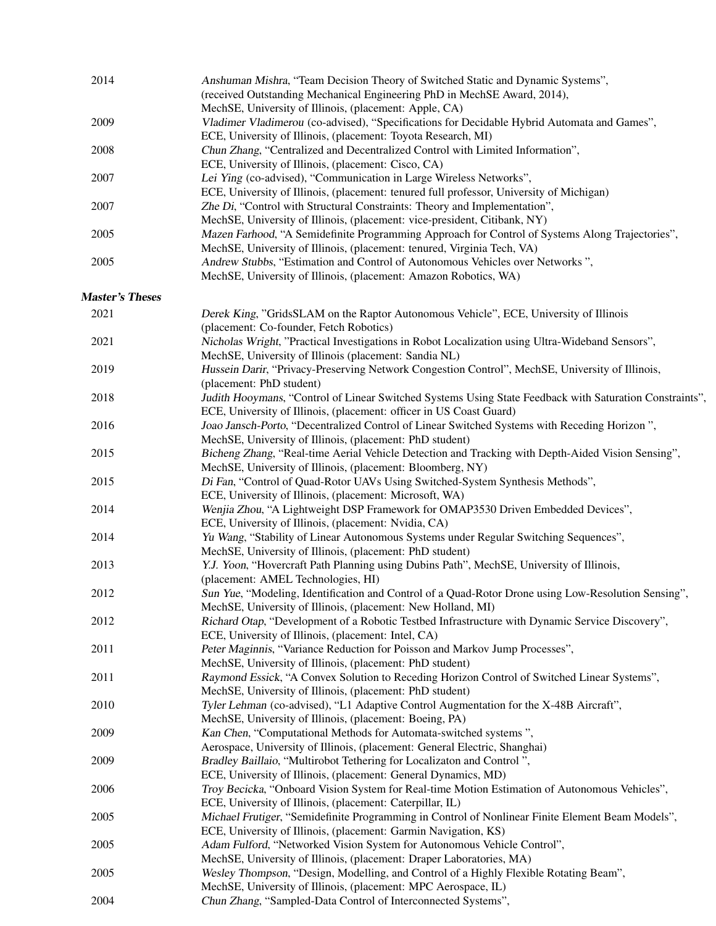| 2014 | Anshuman Mishra, "Team Decision Theory of Switched Static and Dynamic Systems",                 |  |  |
|------|-------------------------------------------------------------------------------------------------|--|--|
|      | (received Outstanding Mechanical Engineering PhD in MechSE Award, 2014),                        |  |  |
|      | MechSE, University of Illinois, (placement: Apple, CA)                                          |  |  |
| 2009 | Vladimer Vladimerou (co-advised), "Specifications for Decidable Hybrid Automata and Games",     |  |  |
|      | ECE, University of Illinois, (placement: Toyota Research, MI)                                   |  |  |
| 2008 | Chun Zhang, "Centralized and Decentralized Control with Limited Information",                   |  |  |
|      | ECE, University of Illinois, (placement: Cisco, CA)                                             |  |  |
| 2007 | Lei Ying (co-advised), "Communication in Large Wireless Networks",                              |  |  |
|      | ECE, University of Illinois, (placement: tenured full professor, University of Michigan)        |  |  |
| 2007 | Zhe Di, "Control with Structural Constraints: Theory and Implementation",                       |  |  |
|      | MechSE, University of Illinois, (placement: vice-president, Citibank, NY)                       |  |  |
| 2005 | Mazen Farhood, "A Semidefinite Programming Approach for Control of Systems Along Trajectories", |  |  |
|      | MechSE, University of Illinois, (placement: tenured, Virginia Tech, VA)                         |  |  |
| 2005 | Andrew Stubbs, "Estimation and Control of Autonomous Vehicles over Networks".                   |  |  |
|      | MechSE, University of Illinois, (placement: Amazon Robotics, WA)                                |  |  |
|      |                                                                                                 |  |  |

# Master's Theses

| 2021 | Derek King, "GridsSLAM on the Raptor Autonomous Vehicle", ECE, University of Illinois<br>(placement: Co-founder, Fetch Robotics) |
|------|----------------------------------------------------------------------------------------------------------------------------------|
| 2021 | Nicholas Wright, "Practical Investigations in Robot Localization using Ultra-Wideband Sensors",                                  |
|      | MechSE, University of Illinois (placement: Sandia NL)                                                                            |
| 2019 | Hussein Darir, "Privacy-Preserving Network Congestion Control", MechSE, University of Illinois,                                  |
|      | (placement: PhD student)                                                                                                         |
| 2018 | Judith Hooymans, "Control of Linear Switched Systems Using State Feedback with Saturation Constraints",                          |
|      | ECE, University of Illinois, (placement: officer in US Coast Guard)                                                              |
| 2016 | Joao Jansch-Porto, "Decentralized Control of Linear Switched Systems with Receding Horizon",                                     |
|      | MechSE, University of Illinois, (placement: PhD student)                                                                         |
| 2015 | Bicheng Zhang, "Real-time Aerial Vehicle Detection and Tracking with Depth-Aided Vision Sensing",                                |
|      | MechSE, University of Illinois, (placement: Bloomberg, NY)                                                                       |
| 2015 | Di Fan, "Control of Quad-Rotor UAVs Using Switched-System Synthesis Methods",                                                    |
|      | ECE, University of Illinois, (placement: Microsoft, WA)                                                                          |
| 2014 | Wenjia Zhou, "A Lightweight DSP Framework for OMAP3530 Driven Embedded Devices",                                                 |
|      | ECE, University of Illinois, (placement: Nvidia, CA)                                                                             |
| 2014 | Yu Wang, "Stability of Linear Autonomous Systems under Regular Switching Sequences",                                             |
|      | MechSE, University of Illinois, (placement: PhD student)                                                                         |
| 2013 | Y.J. Yoon, "Hovercraft Path Planning using Dubins Path", MechSE, University of Illinois,                                         |
|      | (placement: AMEL Technologies, HI)                                                                                               |
| 2012 | Sun Yue, "Modeling, Identification and Control of a Quad-Rotor Drone using Low-Resolution Sensing",                              |
|      | MechSE, University of Illinois, (placement: New Holland, MI)                                                                     |
| 2012 | Richard Otap, "Development of a Robotic Testbed Infrastructure with Dynamic Service Discovery",                                  |
|      | ECE, University of Illinois, (placement: Intel, CA)                                                                              |
| 2011 | Peter Maginnis, "Variance Reduction for Poisson and Markov Jump Processes",                                                      |
|      | MechSE, University of Illinois, (placement: PhD student)                                                                         |
| 2011 | Raymond Essick, "A Convex Solution to Receding Horizon Control of Switched Linear Systems",                                      |
|      | MechSE, University of Illinois, (placement: PhD student)                                                                         |
| 2010 | Tyler Lehman (co-advised), "L1 Adaptive Control Augmentation for the X-48B Aircraft",                                            |
|      | MechSE, University of Illinois, (placement: Boeing, PA)                                                                          |
| 2009 | Kan Chen, "Computational Methods for Automata-switched systems",                                                                 |
|      | Aerospace, University of Illinois, (placement: General Electric, Shanghai)                                                       |
| 2009 | Bradley Baillaio, "Multirobot Tethering for Localizaton and Control",                                                            |
|      | ECE, University of Illinois, (placement: General Dynamics, MD)                                                                   |
| 2006 | Troy Becicka, "Onboard Vision System for Real-time Motion Estimation of Autonomous Vehicles",                                    |
|      | ECE, University of Illinois, (placement: Caterpillar, IL)                                                                        |
| 2005 | Michael Frutiger, "Semidefinite Programming in Control of Nonlinear Finite Element Beam Models",                                 |
|      | ECE, University of Illinois, (placement: Garmin Navigation, KS)                                                                  |
| 2005 | Adam Fulford, "Networked Vision System for Autonomous Vehicle Control",                                                          |
|      | MechSE, University of Illinois, (placement: Draper Laboratories, MA)                                                             |
| 2005 | Wesley Thompson, "Design, Modelling, and Control of a Highly Flexible Rotating Beam",                                            |
|      | MechSE, University of Illinois, (placement: MPC Aerospace, IL)                                                                   |
| 2004 | Chun Zhang, "Sampled-Data Control of Interconnected Systems",                                                                    |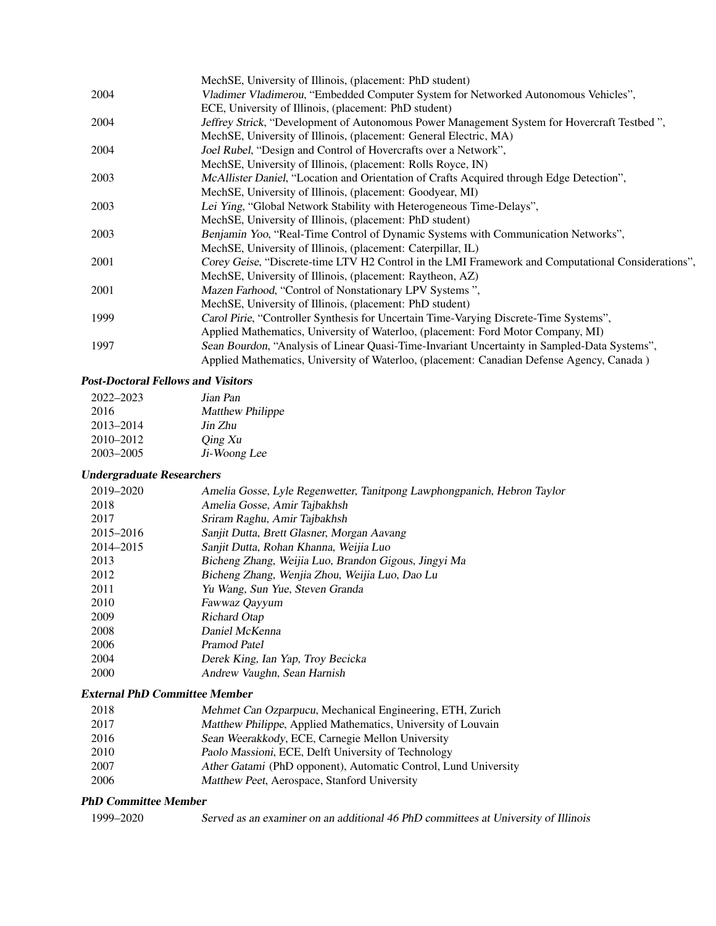|      | MechSE, University of Illinois, (placement: PhD student)                                           |
|------|----------------------------------------------------------------------------------------------------|
| 2004 | Vladimer Vladimerou, "Embedded Computer System for Networked Autonomous Vehicles",                 |
|      | ECE, University of Illinois, (placement: PhD student)                                              |
| 2004 | Jeffrey Strick, "Development of Autonomous Power Management System for Hovercraft Testbed",        |
|      | MechSE, University of Illinois, (placement: General Electric, MA)                                  |
| 2004 | Joel Rubel, "Design and Control of Hovercrafts over a Network",                                    |
|      | MechSE, University of Illinois, (placement: Rolls Royce, IN)                                       |
| 2003 | McAllister Daniel, "Location and Orientation of Crafts Acquired through Edge Detection",           |
|      | MechSE, University of Illinois, (placement: Goodyear, MI)                                          |
| 2003 | Lei Ying, "Global Network Stability with Heterogeneous Time-Delays",                               |
|      | MechSE, University of Illinois, (placement: PhD student)                                           |
| 2003 | Benjamin Yoo, "Real-Time Control of Dynamic Systems with Communication Networks",                  |
|      | MechSE, University of Illinois, (placement: Caterpillar, IL)                                       |
| 2001 | Corey Geise, "Discrete-time LTV H2 Control in the LMI Framework and Computational Considerations", |
|      | MechSE, University of Illinois, (placement: Raytheon, AZ)                                          |
| 2001 | Mazen Farhood, "Control of Nonstationary LPV Systems",                                             |
|      | MechSE, University of Illinois, (placement: PhD student)                                           |
| 1999 | Carol Pirie, "Controller Synthesis for Uncertain Time-Varying Discrete-Time Systems",              |
|      | Applied Mathematics, University of Waterloo, (placement: Ford Motor Company, MI)                   |
| 1997 | Sean Bourdon, "Analysis of Linear Quasi-Time-Invariant Uncertainty in Sampled-Data Systems",       |
|      | Applied Mathematics, University of Waterloo, (placement: Canadian Defense Agency, Canada)          |

## Post-Doctoral Fellows and Visitors

| 2022-2023     | Jian Pan                |
|---------------|-------------------------|
| 2016          | <b>Matthew Philippe</b> |
| 2013-2014     | Jin Zhu                 |
| $2010 - 2012$ | Qing Xu                 |
| $2003 - 2005$ | Ji-Woong Lee            |

## Undergraduate Researchers

| Amelia Gosse, Lyle Regenwetter, Tanitpong Lawphongpanich, Hebron Taylor |
|-------------------------------------------------------------------------|
| Amelia Gosse, Amir Tajbakhsh                                            |
| Sriram Raghu, Amir Tajbakhsh                                            |
| Sanjit Dutta, Brett Glasner, Morgan Aavang                              |
| Sanjit Dutta, Rohan Khanna, Weijia Luo                                  |
| Bicheng Zhang, Weijia Luo, Brandon Gigous, Jingyi Ma                    |
| Bicheng Zhang, Wenjia Zhou, Weijia Luo, Dao Lu                          |
| Yu Wang, Sun Yue, Steven Granda                                         |
| Fawwaz Qayyum                                                           |
| Richard Otap                                                            |
| Daniel McKenna                                                          |
| Pramod Patel                                                            |
| Derek King, Ian Yap, Troy Becicka                                       |
| Andrew Vaughn, Sean Harnish                                             |
|                                                                         |

## External PhD Committee Member

| 2018<br>Mehmet Can Ozparpucu, Mechanical Engineering, ETH, Zurich |  |
|-------------------------------------------------------------------|--|
|-------------------------------------------------------------------|--|

- 2017 Matthew Philippe, Applied Mathematics, University of Louvain
- 2016 Sean Weerakkody, ECE, Carnegie Mellon University<br>2010 Paolo Massioni, ECE, Delft University of Technology
- Paolo Massioni, ECE, Delft University of Technology
- 2007 Ather Gatami (PhD opponent), Automatic Control, Lund University
- 2006 Matthew Peet, Aerospace, Stanford University

## PhD Committee Member

| 1999–2020 |  | Served as an examiner on an additional 46 PhD committees at University of Illinois |  |  |  |  |
|-----------|--|------------------------------------------------------------------------------------|--|--|--|--|
|-----------|--|------------------------------------------------------------------------------------|--|--|--|--|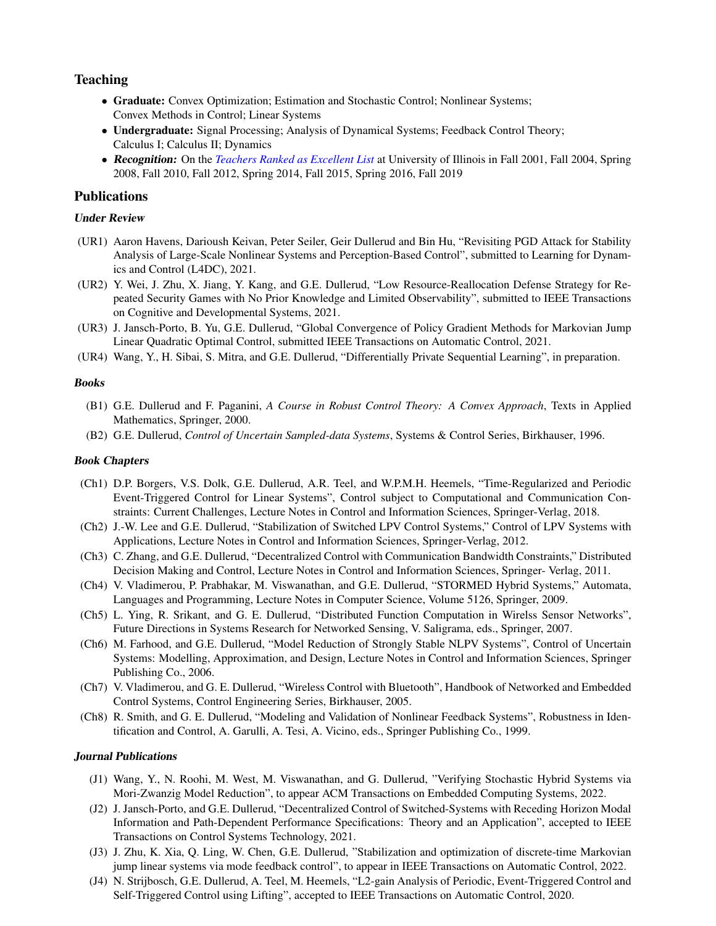# Teaching

- Graduate: Convex Optimization; Estimation and Stochastic Control; Nonlinear Systems; Convex Methods in Control; Linear Systems
- Undergraduate: Signal Processing; Analysis of Dynamical Systems; Feedback Control Theory; Calculus I; Calculus II; Dynamics
- Recognition: On the *[Teachers Ranked as Excellent List](https://citl.illinois.edu/citl-101/measurement-evaluation/teaching-evaluation/teaching-evaluations-(ices)/teachers-ranked-as-excellent)* at University of Illinois in Fall 2001, Fall 2004, Spring 2008, Fall 2010, Fall 2012, Spring 2014, Fall 2015, Spring 2016, Fall 2019

## Publications

## Under Review

- (UR1) Aaron Havens, Darioush Keivan, Peter Seiler, Geir Dullerud and Bin Hu, "Revisiting PGD Attack for Stability Analysis of Large-Scale Nonlinear Systems and Perception-Based Control", submitted to Learning for Dynamics and Control (L4DC), 2021.
- (UR2) Y. Wei, J. Zhu, X. Jiang, Y. Kang, and G.E. Dullerud, "Low Resource-Reallocation Defense Strategy for Repeated Security Games with No Prior Knowledge and Limited Observability", submitted to IEEE Transactions on Cognitive and Developmental Systems, 2021.
- (UR3) J. Jansch-Porto, B. Yu, G.E. Dullerud, "Global Convergence of Policy Gradient Methods for Markovian Jump Linear Quadratic Optimal Control, submitted IEEE Transactions on Automatic Control, 2021.
- (UR4) Wang, Y., H. Sibai, S. Mitra, and G.E. Dullerud, "Differentially Private Sequential Learning", in preparation.

#### **Books**

- (B1) G.E. Dullerud and F. Paganini, *A Course in Robust Control Theory: A Convex Approach*, Texts in Applied Mathematics, Springer, 2000.
- (B2) G.E. Dullerud, *Control of Uncertain Sampled-data Systems*, Systems & Control Series, Birkhauser, 1996.

#### Book Chapters

- (Ch1) D.P. Borgers, V.S. Dolk, G.E. Dullerud, A.R. Teel, and W.P.M.H. Heemels, "Time-Regularized and Periodic Event-Triggered Control for Linear Systems", Control subject to Computational and Communication Constraints: Current Challenges, Lecture Notes in Control and Information Sciences, Springer-Verlag, 2018.
- (Ch2) J.-W. Lee and G.E. Dullerud, "Stabilization of Switched LPV Control Systems," Control of LPV Systems with Applications, Lecture Notes in Control and Information Sciences, Springer-Verlag, 2012.
- (Ch3) C. Zhang, and G.E. Dullerud, "Decentralized Control with Communication Bandwidth Constraints," Distributed Decision Making and Control, Lecture Notes in Control and Information Sciences, Springer- Verlag, 2011.
- (Ch4) V. Vladimerou, P. Prabhakar, M. Viswanathan, and G.E. Dullerud, "STORMED Hybrid Systems," Automata, Languages and Programming, Lecture Notes in Computer Science, Volume 5126, Springer, 2009.
- (Ch5) L. Ying, R. Srikant, and G. E. Dullerud, "Distributed Function Computation in Wirelss Sensor Networks", Future Directions in Systems Research for Networked Sensing, V. Saligrama, eds., Springer, 2007.
- (Ch6) M. Farhood, and G.E. Dullerud, "Model Reduction of Strongly Stable NLPV Systems", Control of Uncertain Systems: Modelling, Approximation, and Design, Lecture Notes in Control and Information Sciences, Springer Publishing Co., 2006.
- (Ch7) V. Vladimerou, and G. E. Dullerud, "Wireless Control with Bluetooth", Handbook of Networked and Embedded Control Systems, Control Engineering Series, Birkhauser, 2005.
- (Ch8) R. Smith, and G. E. Dullerud, "Modeling and Validation of Nonlinear Feedback Systems", Robustness in Identification and Control, A. Garulli, A. Tesi, A. Vicino, eds., Springer Publishing Co., 1999.

#### Journal Publications

- (J1) Wang, Y., N. Roohi, M. West, M. Viswanathan, and G. Dullerud, "Verifying Stochastic Hybrid Systems via Mori-Zwanzig Model Reduction", to appear ACM Transactions on Embedded Computing Systems, 2022.
- (J2) J. Jansch-Porto, and G.E. Dullerud, "Decentralized Control of Switched-Systems with Receding Horizon Modal Information and Path-Dependent Performance Specifications: Theory and an Application", accepted to IEEE Transactions on Control Systems Technology, 2021.
- (J3) J. Zhu, K. Xia, Q. Ling, W. Chen, G.E. Dullerud, "Stabilization and optimization of discrete-time Markovian jump linear systems via mode feedback control", to appear in IEEE Transactions on Automatic Control, 2022.
- (J4) N. Strijbosch, G.E. Dullerud, A. Teel, M. Heemels, "L2-gain Analysis of Periodic, Event-Triggered Control and Self-Triggered Control using Lifting", accepted to IEEE Transactions on Automatic Control, 2020.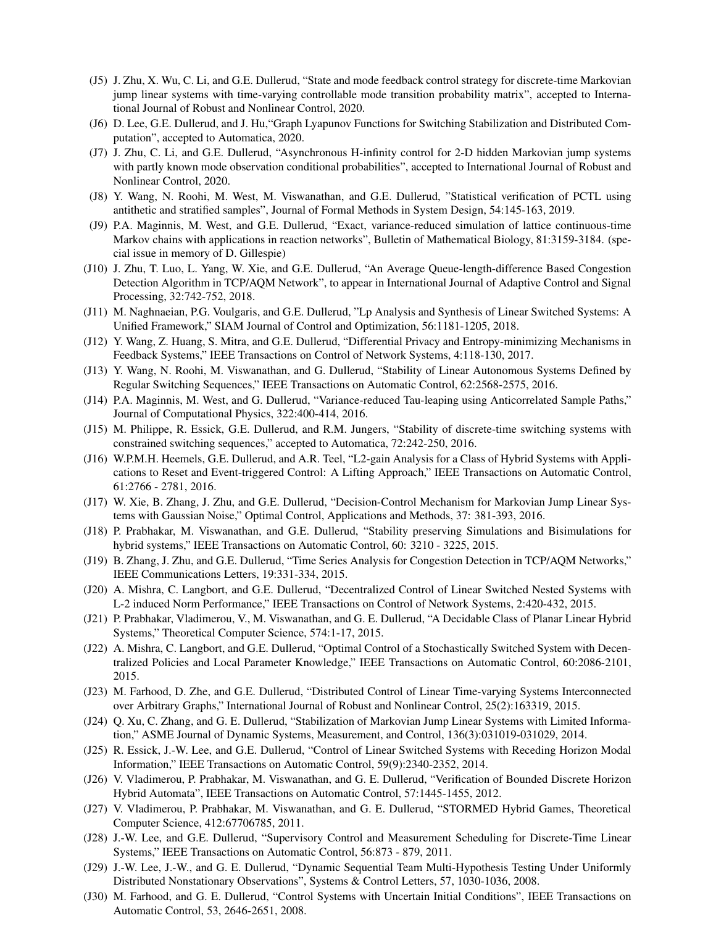- (J5) J. Zhu, X. Wu, C. Li, and G.E. Dullerud, "State and mode feedback control strategy for discrete-time Markovian jump linear systems with time-varying controllable mode transition probability matrix", accepted to International Journal of Robust and Nonlinear Control, 2020.
- (J6) D. Lee, G.E. Dullerud, and J. Hu,"Graph Lyapunov Functions for Switching Stabilization and Distributed Computation", accepted to Automatica, 2020.
- (J7) J. Zhu, C. Li, and G.E. Dullerud, "Asynchronous H-infinity control for 2-D hidden Markovian jump systems with partly known mode observation conditional probabilities", accepted to International Journal of Robust and Nonlinear Control, 2020.
- (J8) Y. Wang, N. Roohi, M. West, M. Viswanathan, and G.E. Dullerud, "Statistical verification of PCTL using antithetic and stratified samples", Journal of Formal Methods in System Design, 54:145-163, 2019.
- (J9) P.A. Maginnis, M. West, and G.E. Dullerud, "Exact, variance-reduced simulation of lattice continuous-time Markov chains with applications in reaction networks", Bulletin of Mathematical Biology, 81:3159-3184. (special issue in memory of D. Gillespie)
- (J10) J. Zhu, T. Luo, L. Yang, W. Xie, and G.E. Dullerud, "An Average Queue-length-difference Based Congestion Detection Algorithm in TCP/AQM Network", to appear in International Journal of Adaptive Control and Signal Processing, 32:742-752, 2018.
- (J11) M. Naghnaeian, P.G. Voulgaris, and G.E. Dullerud, "Lp Analysis and Synthesis of Linear Switched Systems: A Unified Framework," SIAM Journal of Control and Optimization, 56:1181-1205, 2018.
- (J12) Y. Wang, Z. Huang, S. Mitra, and G.E. Dullerud, "Differential Privacy and Entropy-minimizing Mechanisms in Feedback Systems," IEEE Transactions on Control of Network Systems, 4:118-130, 2017.
- (J13) Y. Wang, N. Roohi, M. Viswanathan, and G. Dullerud, "Stability of Linear Autonomous Systems Defined by Regular Switching Sequences," IEEE Transactions on Automatic Control, 62:2568-2575, 2016.
- (J14) P.A. Maginnis, M. West, and G. Dullerud, "Variance-reduced Tau-leaping using Anticorrelated Sample Paths," Journal of Computational Physics, 322:400-414, 2016.
- (J15) M. Philippe, R. Essick, G.E. Dullerud, and R.M. Jungers, "Stability of discrete-time switching systems with constrained switching sequences," accepted to Automatica, 72:242-250, 2016.
- (J16) W.P.M.H. Heemels, G.E. Dullerud, and A.R. Teel, "L2-gain Analysis for a Class of Hybrid Systems with Applications to Reset and Event-triggered Control: A Lifting Approach," IEEE Transactions on Automatic Control, 61:2766 - 2781, 2016.
- (J17) W. Xie, B. Zhang, J. Zhu, and G.E. Dullerud, "Decision-Control Mechanism for Markovian Jump Linear Systems with Gaussian Noise," Optimal Control, Applications and Methods, 37: 381-393, 2016.
- (J18) P. Prabhakar, M. Viswanathan, and G.E. Dullerud, "Stability preserving Simulations and Bisimulations for hybrid systems," IEEE Transactions on Automatic Control, 60: 3210 - 3225, 2015.
- (J19) B. Zhang, J. Zhu, and G.E. Dullerud, "Time Series Analysis for Congestion Detection in TCP/AQM Networks," IEEE Communications Letters, 19:331-334, 2015.
- (J20) A. Mishra, C. Langbort, and G.E. Dullerud, "Decentralized Control of Linear Switched Nested Systems with L-2 induced Norm Performance," IEEE Transactions on Control of Network Systems, 2:420-432, 2015.
- (J21) P. Prabhakar, Vladimerou, V., M. Viswanathan, and G. E. Dullerud, "A Decidable Class of Planar Linear Hybrid Systems," Theoretical Computer Science, 574:1-17, 2015.
- (J22) A. Mishra, C. Langbort, and G.E. Dullerud, "Optimal Control of a Stochastically Switched System with Decentralized Policies and Local Parameter Knowledge," IEEE Transactions on Automatic Control, 60:2086-2101, 2015.
- (J23) M. Farhood, D. Zhe, and G.E. Dullerud, "Distributed Control of Linear Time-varying Systems Interconnected over Arbitrary Graphs," International Journal of Robust and Nonlinear Control, 25(2):163319, 2015.
- (J24) Q. Xu, C. Zhang, and G. E. Dullerud, "Stabilization of Markovian Jump Linear Systems with Limited Information," ASME Journal of Dynamic Systems, Measurement, and Control, 136(3):031019-031029, 2014.
- (J25) R. Essick, J.-W. Lee, and G.E. Dullerud, "Control of Linear Switched Systems with Receding Horizon Modal Information," IEEE Transactions on Automatic Control, 59(9):2340-2352, 2014.
- (J26) V. Vladimerou, P. Prabhakar, M. Viswanathan, and G. E. Dullerud, "Verification of Bounded Discrete Horizon Hybrid Automata", IEEE Transactions on Automatic Control, 57:1445-1455, 2012.
- (J27) V. Vladimerou, P. Prabhakar, M. Viswanathan, and G. E. Dullerud, "STORMED Hybrid Games, Theoretical Computer Science, 412:67706785, 2011.
- (J28) J.-W. Lee, and G.E. Dullerud, "Supervisory Control and Measurement Scheduling for Discrete-Time Linear Systems," IEEE Transactions on Automatic Control, 56:873 - 879, 2011.
- (J29) J.-W. Lee, J.-W., and G. E. Dullerud, "Dynamic Sequential Team Multi-Hypothesis Testing Under Uniformly Distributed Nonstationary Observations", Systems & Control Letters, 57, 1030-1036, 2008.
- (J30) M. Farhood, and G. E. Dullerud, "Control Systems with Uncertain Initial Conditions", IEEE Transactions on Automatic Control, 53, 2646-2651, 2008.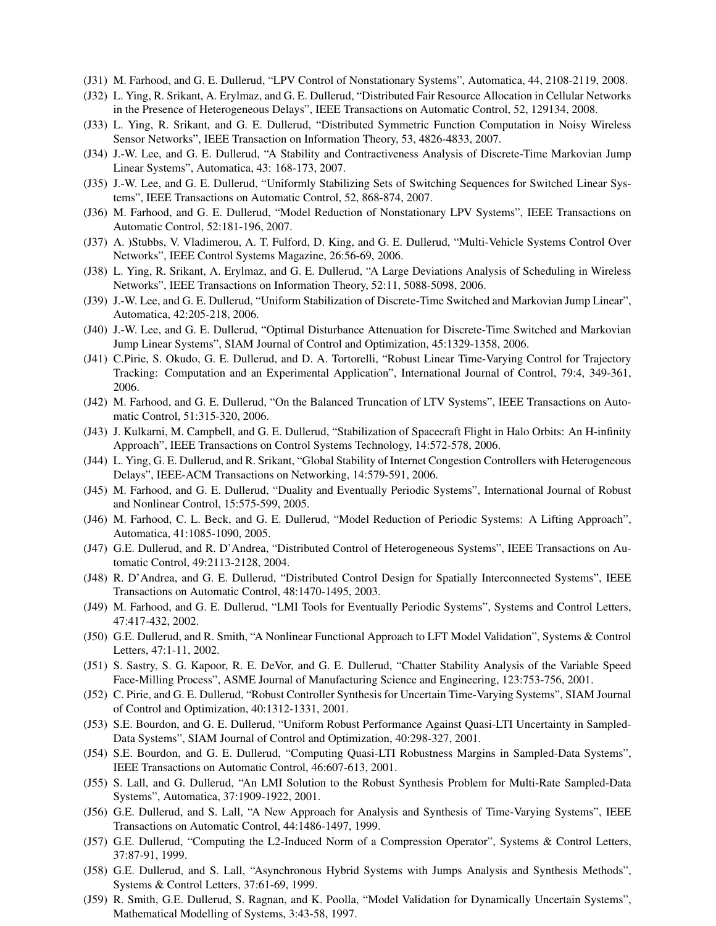- (J31) M. Farhood, and G. E. Dullerud, "LPV Control of Nonstationary Systems", Automatica, 44, 2108-2119, 2008.
- (J32) L. Ying, R. Srikant, A. Erylmaz, and G. E. Dullerud, "Distributed Fair Resource Allocation in Cellular Networks in the Presence of Heterogeneous Delays", IEEE Transactions on Automatic Control, 52, 129134, 2008.
- (J33) L. Ying, R. Srikant, and G. E. Dullerud, "Distributed Symmetric Function Computation in Noisy Wireless Sensor Networks", IEEE Transaction on Information Theory, 53, 4826-4833, 2007.
- (J34) J.-W. Lee, and G. E. Dullerud, "A Stability and Contractiveness Analysis of Discrete-Time Markovian Jump Linear Systems", Automatica, 43: 168-173, 2007.
- (J35) J.-W. Lee, and G. E. Dullerud, "Uniformly Stabilizing Sets of Switching Sequences for Switched Linear Systems", IEEE Transactions on Automatic Control, 52, 868-874, 2007.
- (J36) M. Farhood, and G. E. Dullerud, "Model Reduction of Nonstationary LPV Systems", IEEE Transactions on Automatic Control, 52:181-196, 2007.
- (J37) A. )Stubbs, V. Vladimerou, A. T. Fulford, D. King, and G. E. Dullerud, "Multi-Vehicle Systems Control Over Networks", IEEE Control Systems Magazine, 26:56-69, 2006.
- (J38) L. Ying, R. Srikant, A. Erylmaz, and G. E. Dullerud, "A Large Deviations Analysis of Scheduling in Wireless Networks", IEEE Transactions on Information Theory, 52:11, 5088-5098, 2006.
- (J39) J.-W. Lee, and G. E. Dullerud, "Uniform Stabilization of Discrete-Time Switched and Markovian Jump Linear", Automatica, 42:205-218, 2006.
- (J40) J.-W. Lee, and G. E. Dullerud, "Optimal Disturbance Attenuation for Discrete-Time Switched and Markovian Jump Linear Systems", SIAM Journal of Control and Optimization, 45:1329-1358, 2006.
- (J41) C.Pirie, S. Okudo, G. E. Dullerud, and D. A. Tortorelli, "Robust Linear Time-Varying Control for Trajectory Tracking: Computation and an Experimental Application", International Journal of Control, 79:4, 349-361, 2006.
- (J42) M. Farhood, and G. E. Dullerud, "On the Balanced Truncation of LTV Systems", IEEE Transactions on Automatic Control, 51:315-320, 2006.
- (J43) J. Kulkarni, M. Campbell, and G. E. Dullerud, "Stabilization of Spacecraft Flight in Halo Orbits: An H-infinity Approach", IEEE Transactions on Control Systems Technology, 14:572-578, 2006.
- (J44) L. Ying, G. E. Dullerud, and R. Srikant, "Global Stability of Internet Congestion Controllers with Heterogeneous Delays", IEEE-ACM Transactions on Networking, 14:579-591, 2006.
- (J45) M. Farhood, and G. E. Dullerud, "Duality and Eventually Periodic Systems", International Journal of Robust and Nonlinear Control, 15:575-599, 2005.
- (J46) M. Farhood, C. L. Beck, and G. E. Dullerud, "Model Reduction of Periodic Systems: A Lifting Approach", Automatica, 41:1085-1090, 2005.
- (J47) G.E. Dullerud, and R. D'Andrea, "Distributed Control of Heterogeneous Systems", IEEE Transactions on Automatic Control, 49:2113-2128, 2004.
- (J48) R. D'Andrea, and G. E. Dullerud, "Distributed Control Design for Spatially Interconnected Systems", IEEE Transactions on Automatic Control, 48:1470-1495, 2003.
- (J49) M. Farhood, and G. E. Dullerud, "LMI Tools for Eventually Periodic Systems", Systems and Control Letters, 47:417-432, 2002.
- (J50) G.E. Dullerud, and R. Smith, "A Nonlinear Functional Approach to LFT Model Validation", Systems & Control Letters, 47:1-11, 2002.
- (J51) S. Sastry, S. G. Kapoor, R. E. DeVor, and G. E. Dullerud, "Chatter Stability Analysis of the Variable Speed Face-Milling Process", ASME Journal of Manufacturing Science and Engineering, 123:753-756, 2001.
- (J52) C. Pirie, and G. E. Dullerud, "Robust Controller Synthesis for Uncertain Time-Varying Systems", SIAM Journal of Control and Optimization, 40:1312-1331, 2001.
- (J53) S.E. Bourdon, and G. E. Dullerud, "Uniform Robust Performance Against Quasi-LTI Uncertainty in Sampled-Data Systems", SIAM Journal of Control and Optimization, 40:298-327, 2001.
- (J54) S.E. Bourdon, and G. E. Dullerud, "Computing Quasi-LTI Robustness Margins in Sampled-Data Systems", IEEE Transactions on Automatic Control, 46:607-613, 2001.
- (J55) S. Lall, and G. Dullerud, "An LMI Solution to the Robust Synthesis Problem for Multi-Rate Sampled-Data Systems", Automatica, 37:1909-1922, 2001.
- (J56) G.E. Dullerud, and S. Lall, "A New Approach for Analysis and Synthesis of Time-Varying Systems", IEEE Transactions on Automatic Control, 44:1486-1497, 1999.
- (J57) G.E. Dullerud, "Computing the L2-Induced Norm of a Compression Operator", Systems & Control Letters, 37:87-91, 1999.
- (J58) G.E. Dullerud, and S. Lall, "Asynchronous Hybrid Systems with Jumps Analysis and Synthesis Methods", Systems & Control Letters, 37:61-69, 1999.
- (J59) R. Smith, G.E. Dullerud, S. Ragnan, and K. Poolla, "Model Validation for Dynamically Uncertain Systems", Mathematical Modelling of Systems, 3:43-58, 1997.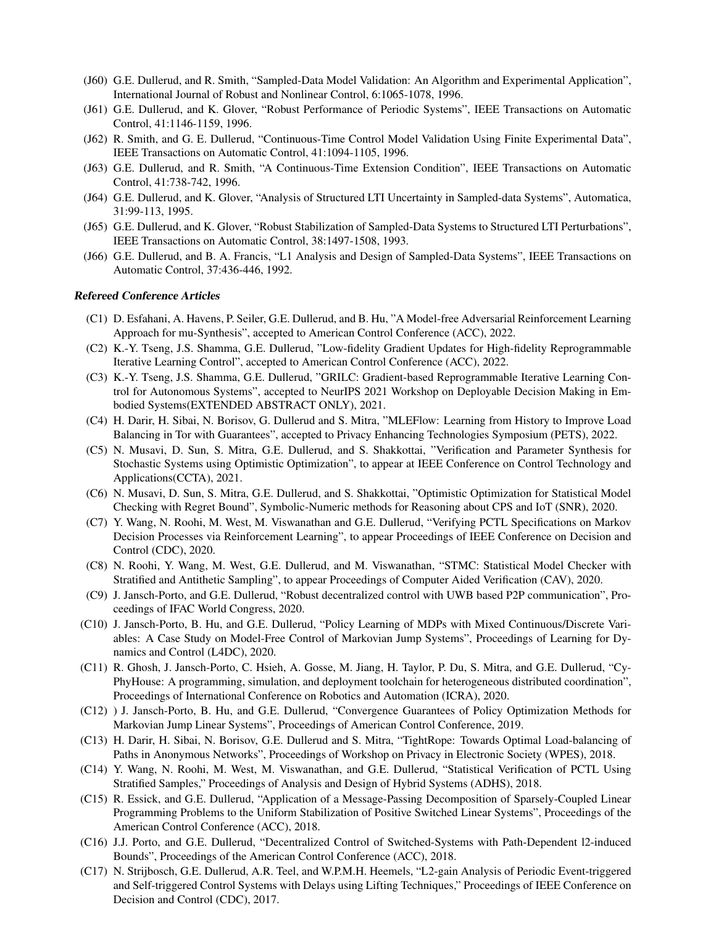- (J60) G.E. Dullerud, and R. Smith, "Sampled-Data Model Validation: An Algorithm and Experimental Application", International Journal of Robust and Nonlinear Control, 6:1065-1078, 1996.
- (J61) G.E. Dullerud, and K. Glover, "Robust Performance of Periodic Systems", IEEE Transactions on Automatic Control, 41:1146-1159, 1996.
- (J62) R. Smith, and G. E. Dullerud, "Continuous-Time Control Model Validation Using Finite Experimental Data", IEEE Transactions on Automatic Control, 41:1094-1105, 1996.
- (J63) G.E. Dullerud, and R. Smith, "A Continuous-Time Extension Condition", IEEE Transactions on Automatic Control, 41:738-742, 1996.
- (J64) G.E. Dullerud, and K. Glover, "Analysis of Structured LTI Uncertainty in Sampled-data Systems", Automatica, 31:99-113, 1995.
- (J65) G.E. Dullerud, and K. Glover, "Robust Stabilization of Sampled-Data Systems to Structured LTI Perturbations", IEEE Transactions on Automatic Control, 38:1497-1508, 1993.
- (J66) G.E. Dullerud, and B. A. Francis, "L1 Analysis and Design of Sampled-Data Systems", IEEE Transactions on Automatic Control, 37:436-446, 1992.

#### Refereed Conference Articles

- (C1) D. Esfahani, A. Havens, P. Seiler, G.E. Dullerud, and B. Hu, "A Model-free Adversarial Reinforcement Learning Approach for mu-Synthesis", accepted to American Control Conference (ACC), 2022.
- (C2) K.-Y. Tseng, J.S. Shamma, G.E. Dullerud, "Low-fidelity Gradient Updates for High-fidelity Reprogrammable Iterative Learning Control", accepted to American Control Conference (ACC), 2022.
- (C3) K.-Y. Tseng, J.S. Shamma, G.E. Dullerud, "GRILC: Gradient-based Reprogrammable Iterative Learning Control for Autonomous Systems", accepted to NeurIPS 2021 Workshop on Deployable Decision Making in Embodied Systems(EXTENDED ABSTRACT ONLY), 2021.
- (C4) H. Darir, H. Sibai, N. Borisov, G. Dullerud and S. Mitra, "MLEFlow: Learning from History to Improve Load Balancing in Tor with Guarantees", accepted to Privacy Enhancing Technologies Symposium (PETS), 2022.
- (C5) N. Musavi, D. Sun, S. Mitra, G.E. Dullerud, and S. Shakkottai, "Verification and Parameter Synthesis for Stochastic Systems using Optimistic Optimization", to appear at IEEE Conference on Control Technology and Applications(CCTA), 2021.
- (C6) N. Musavi, D. Sun, S. Mitra, G.E. Dullerud, and S. Shakkottai, "Optimistic Optimization for Statistical Model Checking with Regret Bound", Symbolic-Numeric methods for Reasoning about CPS and IoT (SNR), 2020.
- (C7) Y. Wang, N. Roohi, M. West, M. Viswanathan and G.E. Dullerud, "Verifying PCTL Specifications on Markov Decision Processes via Reinforcement Learning", to appear Proceedings of IEEE Conference on Decision and Control (CDC), 2020.
- (C8) N. Roohi, Y. Wang, M. West, G.E. Dullerud, and M. Viswanathan, "STMC: Statistical Model Checker with Stratified and Antithetic Sampling", to appear Proceedings of Computer Aided Verification (CAV), 2020.
- (C9) J. Jansch-Porto, and G.E. Dullerud, "Robust decentralized control with UWB based P2P communication", Proceedings of IFAC World Congress, 2020.
- (C10) J. Jansch-Porto, B. Hu, and G.E. Dullerud, "Policy Learning of MDPs with Mixed Continuous/Discrete Variables: A Case Study on Model-Free Control of Markovian Jump Systems", Proceedings of Learning for Dynamics and Control (L4DC), 2020.
- (C11) R. Ghosh, J. Jansch-Porto, C. Hsieh, A. Gosse, M. Jiang, H. Taylor, P. Du, S. Mitra, and G.E. Dullerud, "Cy-PhyHouse: A programming, simulation, and deployment toolchain for heterogeneous distributed coordination", Proceedings of International Conference on Robotics and Automation (ICRA), 2020.
- (C12) ) J. Jansch-Porto, B. Hu, and G.E. Dullerud, "Convergence Guarantees of Policy Optimization Methods for Markovian Jump Linear Systems", Proceedings of American Control Conference, 2019.
- (C13) H. Darir, H. Sibai, N. Borisov, G.E. Dullerud and S. Mitra, "TightRope: Towards Optimal Load-balancing of Paths in Anonymous Networks", Proceedings of Workshop on Privacy in Electronic Society (WPES), 2018.
- (C14) Y. Wang, N. Roohi, M. West, M. Viswanathan, and G.E. Dullerud, "Statistical Verification of PCTL Using Stratified Samples," Proceedings of Analysis and Design of Hybrid Systems (ADHS), 2018.
- (C15) R. Essick, and G.E. Dullerud, "Application of a Message-Passing Decomposition of Sparsely-Coupled Linear Programming Problems to the Uniform Stabilization of Positive Switched Linear Systems", Proceedings of the American Control Conference (ACC), 2018.
- (C16) J.J. Porto, and G.E. Dullerud, "Decentralized Control of Switched-Systems with Path-Dependent l2-induced Bounds", Proceedings of the American Control Conference (ACC), 2018.
- (C17) N. Strijbosch, G.E. Dullerud, A.R. Teel, and W.P.M.H. Heemels, "L2-gain Analysis of Periodic Event-triggered and Self-triggered Control Systems with Delays using Lifting Techniques," Proceedings of IEEE Conference on Decision and Control (CDC), 2017.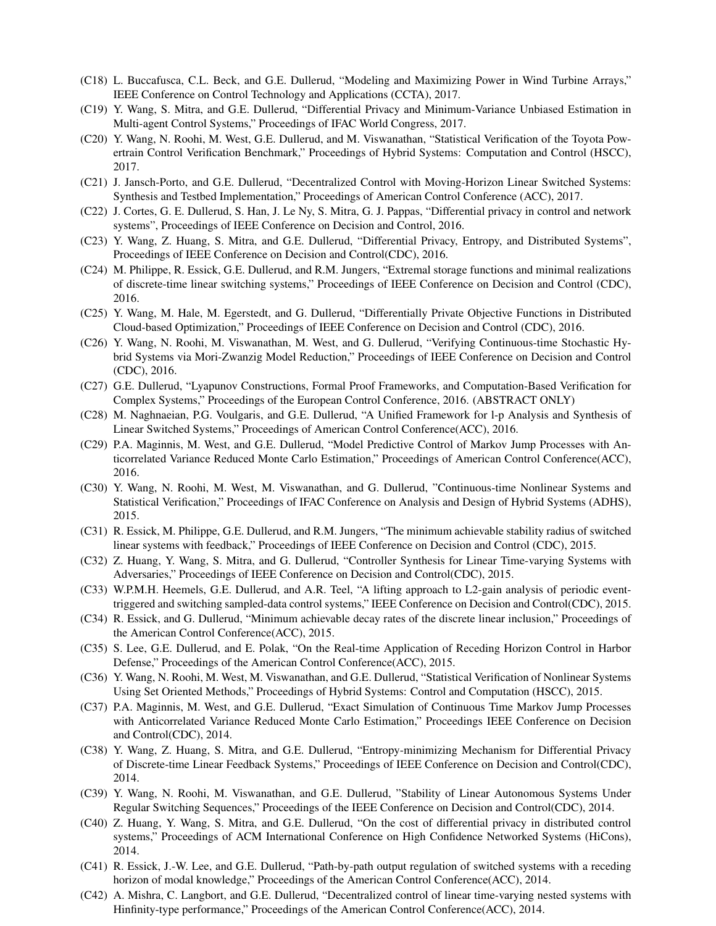- (C18) L. Buccafusca, C.L. Beck, and G.E. Dullerud, "Modeling and Maximizing Power in Wind Turbine Arrays," IEEE Conference on Control Technology and Applications (CCTA), 2017.
- (C19) Y. Wang, S. Mitra, and G.E. Dullerud, "Differential Privacy and Minimum-Variance Unbiased Estimation in Multi-agent Control Systems," Proceedings of IFAC World Congress, 2017.
- (C20) Y. Wang, N. Roohi, M. West, G.E. Dullerud, and M. Viswanathan, "Statistical Verification of the Toyota Powertrain Control Verification Benchmark," Proceedings of Hybrid Systems: Computation and Control (HSCC), 2017.
- (C21) J. Jansch-Porto, and G.E. Dullerud, "Decentralized Control with Moving-Horizon Linear Switched Systems: Synthesis and Testbed Implementation," Proceedings of American Control Conference (ACC), 2017.
- (C22) J. Cortes, G. E. Dullerud, S. Han, J. Le Ny, S. Mitra, G. J. Pappas, "Differential privacy in control and network systems", Proceedings of IEEE Conference on Decision and Control, 2016.
- (C23) Y. Wang, Z. Huang, S. Mitra, and G.E. Dullerud, "Differential Privacy, Entropy, and Distributed Systems", Proceedings of IEEE Conference on Decision and Control(CDC), 2016.
- (C24) M. Philippe, R. Essick, G.E. Dullerud, and R.M. Jungers, "Extremal storage functions and minimal realizations of discrete-time linear switching systems," Proceedings of IEEE Conference on Decision and Control (CDC), 2016.
- (C25) Y. Wang, M. Hale, M. Egerstedt, and G. Dullerud, "Differentially Private Objective Functions in Distributed Cloud-based Optimization," Proceedings of IEEE Conference on Decision and Control (CDC), 2016.
- (C26) Y. Wang, N. Roohi, M. Viswanathan, M. West, and G. Dullerud, "Verifying Continuous-time Stochastic Hybrid Systems via Mori-Zwanzig Model Reduction," Proceedings of IEEE Conference on Decision and Control (CDC), 2016.
- (C27) G.E. Dullerud, "Lyapunov Constructions, Formal Proof Frameworks, and Computation-Based Verification for Complex Systems," Proceedings of the European Control Conference, 2016. (ABSTRACT ONLY)
- (C28) M. Naghnaeian, P.G. Voulgaris, and G.E. Dullerud, "A Unified Framework for l-p Analysis and Synthesis of Linear Switched Systems," Proceedings of American Control Conference(ACC), 2016.
- (C29) P.A. Maginnis, M. West, and G.E. Dullerud, "Model Predictive Control of Markov Jump Processes with Anticorrelated Variance Reduced Monte Carlo Estimation," Proceedings of American Control Conference(ACC), 2016.
- (C30) Y. Wang, N. Roohi, M. West, M. Viswanathan, and G. Dullerud, "Continuous-time Nonlinear Systems and Statistical Verification," Proceedings of IFAC Conference on Analysis and Design of Hybrid Systems (ADHS), 2015.
- (C31) R. Essick, M. Philippe, G.E. Dullerud, and R.M. Jungers, "The minimum achievable stability radius of switched linear systems with feedback," Proceedings of IEEE Conference on Decision and Control (CDC), 2015.
- (C32) Z. Huang, Y. Wang, S. Mitra, and G. Dullerud, "Controller Synthesis for Linear Time-varying Systems with Adversaries," Proceedings of IEEE Conference on Decision and Control(CDC), 2015.
- (C33) W.P.M.H. Heemels, G.E. Dullerud, and A.R. Teel, "A lifting approach to L2-gain analysis of periodic eventtriggered and switching sampled-data control systems," IEEE Conference on Decision and Control(CDC), 2015.
- (C34) R. Essick, and G. Dullerud, "Minimum achievable decay rates of the discrete linear inclusion," Proceedings of the American Control Conference(ACC), 2015.
- (C35) S. Lee, G.E. Dullerud, and E. Polak, "On the Real-time Application of Receding Horizon Control in Harbor Defense," Proceedings of the American Control Conference(ACC), 2015.
- (C36) Y. Wang, N. Roohi, M. West, M. Viswanathan, and G.E. Dullerud, "Statistical Verification of Nonlinear Systems Using Set Oriented Methods," Proceedings of Hybrid Systems: Control and Computation (HSCC), 2015.
- (C37) P.A. Maginnis, M. West, and G.E. Dullerud, "Exact Simulation of Continuous Time Markov Jump Processes with Anticorrelated Variance Reduced Monte Carlo Estimation," Proceedings IEEE Conference on Decision and Control(CDC), 2014.
- (C38) Y. Wang, Z. Huang, S. Mitra, and G.E. Dullerud, "Entropy-minimizing Mechanism for Differential Privacy of Discrete-time Linear Feedback Systems," Proceedings of IEEE Conference on Decision and Control(CDC), 2014.
- (C39) Y. Wang, N. Roohi, M. Viswanathan, and G.E. Dullerud, "Stability of Linear Autonomous Systems Under Regular Switching Sequences," Proceedings of the IEEE Conference on Decision and Control(CDC), 2014.
- (C40) Z. Huang, Y. Wang, S. Mitra, and G.E. Dullerud, "On the cost of differential privacy in distributed control systems," Proceedings of ACM International Conference on High Confidence Networked Systems (HiCons), 2014.
- (C41) R. Essick, J.-W. Lee, and G.E. Dullerud, "Path-by-path output regulation of switched systems with a receding horizon of modal knowledge," Proceedings of the American Control Conference(ACC), 2014.
- (C42) A. Mishra, C. Langbort, and G.E. Dullerud, "Decentralized control of linear time-varying nested systems with Hinfinity-type performance," Proceedings of the American Control Conference(ACC), 2014.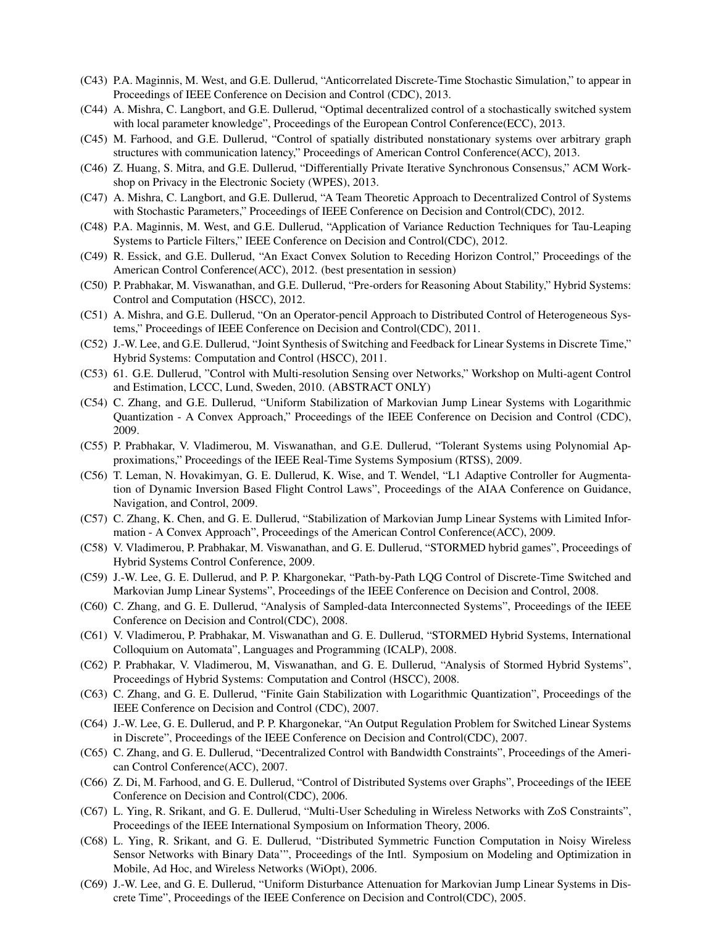- (C43) P.A. Maginnis, M. West, and G.E. Dullerud, "Anticorrelated Discrete-Time Stochastic Simulation," to appear in Proceedings of IEEE Conference on Decision and Control (CDC), 2013.
- (C44) A. Mishra, C. Langbort, and G.E. Dullerud, "Optimal decentralized control of a stochastically switched system with local parameter knowledge", Proceedings of the European Control Conference(ECC), 2013.
- (C45) M. Farhood, and G.E. Dullerud, "Control of spatially distributed nonstationary systems over arbitrary graph structures with communication latency," Proceedings of American Control Conference(ACC), 2013.
- (C46) Z. Huang, S. Mitra, and G.E. Dullerud, "Differentially Private Iterative Synchronous Consensus," ACM Workshop on Privacy in the Electronic Society (WPES), 2013.
- (C47) A. Mishra, C. Langbort, and G.E. Dullerud, "A Team Theoretic Approach to Decentralized Control of Systems with Stochastic Parameters," Proceedings of IEEE Conference on Decision and Control(CDC), 2012.
- (C48) P.A. Maginnis, M. West, and G.E. Dullerud, "Application of Variance Reduction Techniques for Tau-Leaping Systems to Particle Filters," IEEE Conference on Decision and Control(CDC), 2012.
- (C49) R. Essick, and G.E. Dullerud, "An Exact Convex Solution to Receding Horizon Control," Proceedings of the American Control Conference(ACC), 2012. (best presentation in session)
- (C50) P. Prabhakar, M. Viswanathan, and G.E. Dullerud, "Pre-orders for Reasoning About Stability," Hybrid Systems: Control and Computation (HSCC), 2012.
- (C51) A. Mishra, and G.E. Dullerud, "On an Operator-pencil Approach to Distributed Control of Heterogeneous Systems," Proceedings of IEEE Conference on Decision and Control(CDC), 2011.
- (C52) J.-W. Lee, and G.E. Dullerud, "Joint Synthesis of Switching and Feedback for Linear Systems in Discrete Time," Hybrid Systems: Computation and Control (HSCC), 2011.
- (C53) 61. G.E. Dullerud, "Control with Multi-resolution Sensing over Networks," Workshop on Multi-agent Control and Estimation, LCCC, Lund, Sweden, 2010. (ABSTRACT ONLY)
- (C54) C. Zhang, and G.E. Dullerud, "Uniform Stabilization of Markovian Jump Linear Systems with Logarithmic Quantization - A Convex Approach," Proceedings of the IEEE Conference on Decision and Control (CDC), 2009.
- (C55) P. Prabhakar, V. Vladimerou, M. Viswanathan, and G.E. Dullerud, "Tolerant Systems using Polynomial Approximations," Proceedings of the IEEE Real-Time Systems Symposium (RTSS), 2009.
- (C56) T. Leman, N. Hovakimyan, G. E. Dullerud, K. Wise, and T. Wendel, "L1 Adaptive Controller for Augmentation of Dynamic Inversion Based Flight Control Laws", Proceedings of the AIAA Conference on Guidance, Navigation, and Control, 2009.
- (C57) C. Zhang, K. Chen, and G. E. Dullerud, "Stabilization of Markovian Jump Linear Systems with Limited Information - A Convex Approach", Proceedings of the American Control Conference(ACC), 2009.
- (C58) V. Vladimerou, P. Prabhakar, M. Viswanathan, and G. E. Dullerud, "STORMED hybrid games", Proceedings of Hybrid Systems Control Conference, 2009.
- (C59) J.-W. Lee, G. E. Dullerud, and P. P. Khargonekar, "Path-by-Path LQG Control of Discrete-Time Switched and Markovian Jump Linear Systems", Proceedings of the IEEE Conference on Decision and Control, 2008.
- (C60) C. Zhang, and G. E. Dullerud, "Analysis of Sampled-data Interconnected Systems", Proceedings of the IEEE Conference on Decision and Control(CDC), 2008.
- (C61) V. Vladimerou, P. Prabhakar, M. Viswanathan and G. E. Dullerud, "STORMED Hybrid Systems, International Colloquium on Automata", Languages and Programming (ICALP), 2008.
- (C62) P. Prabhakar, V. Vladimerou, M, Viswanathan, and G. E. Dullerud, "Analysis of Stormed Hybrid Systems", Proceedings of Hybrid Systems: Computation and Control (HSCC), 2008.
- (C63) C. Zhang, and G. E. Dullerud, "Finite Gain Stabilization with Logarithmic Quantization", Proceedings of the IEEE Conference on Decision and Control (CDC), 2007.
- (C64) J.-W. Lee, G. E. Dullerud, and P. P. Khargonekar, "An Output Regulation Problem for Switched Linear Systems in Discrete", Proceedings of the IEEE Conference on Decision and Control(CDC), 2007.
- (C65) C. Zhang, and G. E. Dullerud, "Decentralized Control with Bandwidth Constraints", Proceedings of the American Control Conference(ACC), 2007.
- (C66) Z. Di, M. Farhood, and G. E. Dullerud, "Control of Distributed Systems over Graphs", Proceedings of the IEEE Conference on Decision and Control(CDC), 2006.
- (C67) L. Ying, R. Srikant, and G. E. Dullerud, "Multi-User Scheduling in Wireless Networks with ZoS Constraints", Proceedings of the IEEE International Symposium on Information Theory, 2006.
- (C68) L. Ying, R. Srikant, and G. E. Dullerud, "Distributed Symmetric Function Computation in Noisy Wireless Sensor Networks with Binary Data'", Proceedings of the Intl. Symposium on Modeling and Optimization in Mobile, Ad Hoc, and Wireless Networks (WiOpt), 2006.
- (C69) J.-W. Lee, and G. E. Dullerud, "Uniform Disturbance Attenuation for Markovian Jump Linear Systems in Discrete Time", Proceedings of the IEEE Conference on Decision and Control(CDC), 2005.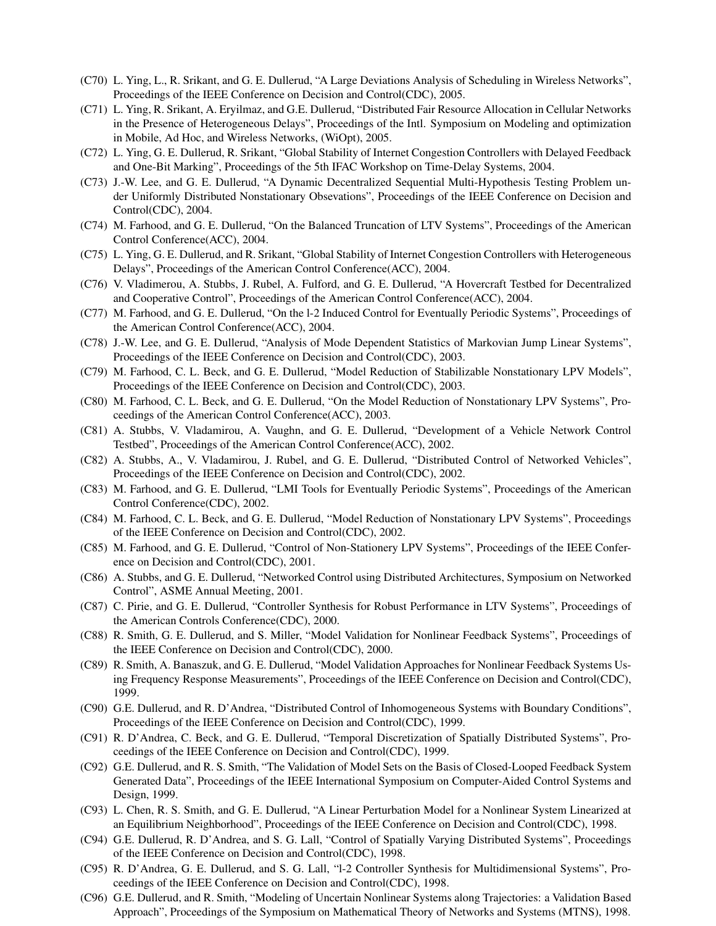- (C70) L. Ying, L., R. Srikant, and G. E. Dullerud, "A Large Deviations Analysis of Scheduling in Wireless Networks", Proceedings of the IEEE Conference on Decision and Control(CDC), 2005.
- (C71) L. Ying, R. Srikant, A. Eryilmaz, and G.E. Dullerud, "Distributed Fair Resource Allocation in Cellular Networks in the Presence of Heterogeneous Delays", Proceedings of the Intl. Symposium on Modeling and optimization in Mobile, Ad Hoc, and Wireless Networks, (WiOpt), 2005.
- (C72) L. Ying, G. E. Dullerud, R. Srikant, "Global Stability of Internet Congestion Controllers with Delayed Feedback and One-Bit Marking", Proceedings of the 5th IFAC Workshop on Time-Delay Systems, 2004.
- (C73) J.-W. Lee, and G. E. Dullerud, "A Dynamic Decentralized Sequential Multi-Hypothesis Testing Problem under Uniformly Distributed Nonstationary Obsevations", Proceedings of the IEEE Conference on Decision and Control(CDC), 2004.
- (C74) M. Farhood, and G. E. Dullerud, "On the Balanced Truncation of LTV Systems", Proceedings of the American Control Conference(ACC), 2004.
- (C75) L. Ying, G. E. Dullerud, and R. Srikant, "Global Stability of Internet Congestion Controllers with Heterogeneous Delays", Proceedings of the American Control Conference(ACC), 2004.
- (C76) V. Vladimerou, A. Stubbs, J. Rubel, A. Fulford, and G. E. Dullerud, "A Hovercraft Testbed for Decentralized and Cooperative Control", Proceedings of the American Control Conference(ACC), 2004.
- (C77) M. Farhood, and G. E. Dullerud, "On the l-2 Induced Control for Eventually Periodic Systems", Proceedings of the American Control Conference(ACC), 2004.
- (C78) J.-W. Lee, and G. E. Dullerud, "Analysis of Mode Dependent Statistics of Markovian Jump Linear Systems", Proceedings of the IEEE Conference on Decision and Control(CDC), 2003.
- (C79) M. Farhood, C. L. Beck, and G. E. Dullerud, "Model Reduction of Stabilizable Nonstationary LPV Models", Proceedings of the IEEE Conference on Decision and Control(CDC), 2003.
- (C80) M. Farhood, C. L. Beck, and G. E. Dullerud, "On the Model Reduction of Nonstationary LPV Systems", Proceedings of the American Control Conference(ACC), 2003.
- (C81) A. Stubbs, V. Vladamirou, A. Vaughn, and G. E. Dullerud, "Development of a Vehicle Network Control Testbed", Proceedings of the American Control Conference(ACC), 2002.
- (C82) A. Stubbs, A., V. Vladamirou, J. Rubel, and G. E. Dullerud, "Distributed Control of Networked Vehicles", Proceedings of the IEEE Conference on Decision and Control(CDC), 2002.
- (C83) M. Farhood, and G. E. Dullerud, "LMI Tools for Eventually Periodic Systems", Proceedings of the American Control Conference(CDC), 2002.
- (C84) M. Farhood, C. L. Beck, and G. E. Dullerud, "Model Reduction of Nonstationary LPV Systems", Proceedings of the IEEE Conference on Decision and Control(CDC), 2002.
- (C85) M. Farhood, and G. E. Dullerud, "Control of Non-Stationery LPV Systems", Proceedings of the IEEE Conference on Decision and Control(CDC), 2001.
- (C86) A. Stubbs, and G. E. Dullerud, "Networked Control using Distributed Architectures, Symposium on Networked Control", ASME Annual Meeting, 2001.
- (C87) C. Pirie, and G. E. Dullerud, "Controller Synthesis for Robust Performance in LTV Systems", Proceedings of the American Controls Conference(CDC), 2000.
- (C88) R. Smith, G. E. Dullerud, and S. Miller, "Model Validation for Nonlinear Feedback Systems", Proceedings of the IEEE Conference on Decision and Control(CDC), 2000.
- (C89) R. Smith, A. Banaszuk, and G. E. Dullerud, "Model Validation Approaches for Nonlinear Feedback Systems Using Frequency Response Measurements", Proceedings of the IEEE Conference on Decision and Control(CDC), 1999.
- (C90) G.E. Dullerud, and R. D'Andrea, "Distributed Control of Inhomogeneous Systems with Boundary Conditions", Proceedings of the IEEE Conference on Decision and Control(CDC), 1999.
- (C91) R. D'Andrea, C. Beck, and G. E. Dullerud, "Temporal Discretization of Spatially Distributed Systems", Proceedings of the IEEE Conference on Decision and Control(CDC), 1999.
- (C92) G.E. Dullerud, and R. S. Smith, "The Validation of Model Sets on the Basis of Closed-Looped Feedback System Generated Data", Proceedings of the IEEE International Symposium on Computer-Aided Control Systems and Design, 1999.
- (C93) L. Chen, R. S. Smith, and G. E. Dullerud, "A Linear Perturbation Model for a Nonlinear System Linearized at an Equilibrium Neighborhood", Proceedings of the IEEE Conference on Decision and Control(CDC), 1998.
- (C94) G.E. Dullerud, R. D'Andrea, and S. G. Lall, "Control of Spatially Varying Distributed Systems", Proceedings of the IEEE Conference on Decision and Control(CDC), 1998.
- (C95) R. D'Andrea, G. E. Dullerud, and S. G. Lall, "l-2 Controller Synthesis for Multidimensional Systems", Proceedings of the IEEE Conference on Decision and Control(CDC), 1998.
- (C96) G.E. Dullerud, and R. Smith, "Modeling of Uncertain Nonlinear Systems along Trajectories: a Validation Based Approach", Proceedings of the Symposium on Mathematical Theory of Networks and Systems (MTNS), 1998.